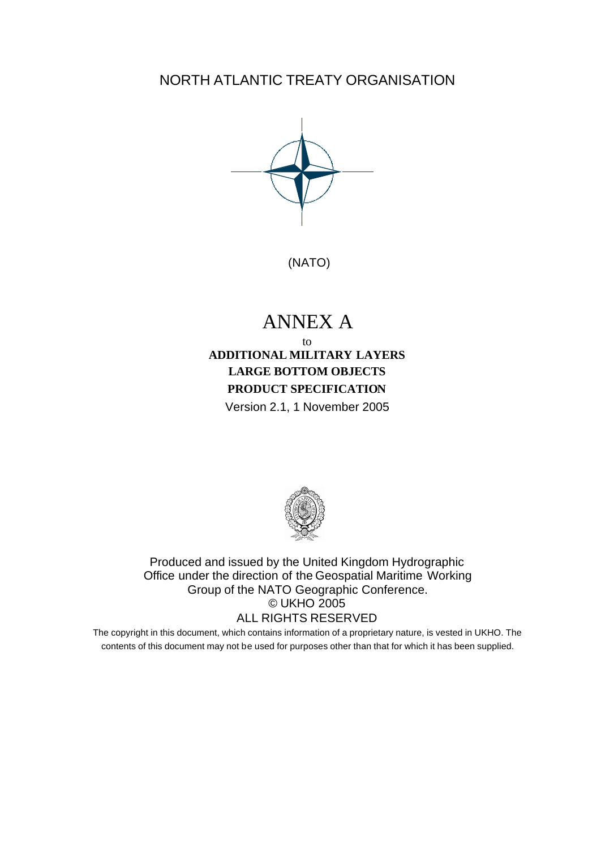NORTH ATLANTIC TREATY ORGANISATION



(NATO)

# ANNEX A

## to **ADDITIONAL MILITARY LAYERS LARGE BOTTOM OBJECTS PRODUCT SPECIFICATION** Version 2.1, 1 November 2005



Produced and issued by the United Kingdom Hydrographic Office under the direction of the Geospatial Maritime Working Group of the NATO Geographic Conference. © UKHO 2005 ALL RIGHTS RESERVED

The copyright in this document, which contains information of a proprietary nature, is vested in UKHO. The contents of this document may not be used for purposes other than that for which it has been supplied.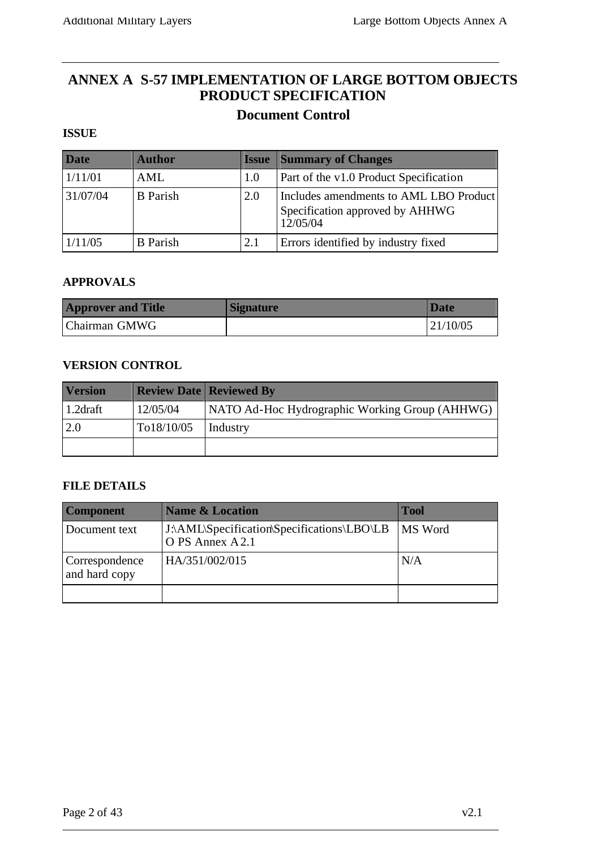# **ANNEX A S-57 IMPLEMENTATION OF LARGE BOTTOM OBJECTS PRODUCT SPECIFICATION Document Control**

## **ISSUE**

| <b>Date</b> | <b>Author</b>   | <b>Issue</b> | <b>Summary of Changes</b>                                                             |
|-------------|-----------------|--------------|---------------------------------------------------------------------------------------|
| 1/11/01     | AML             | 1.0          | Part of the v1.0 Product Specification                                                |
| 31/07/04    | <b>B</b> Parish | 2.0          | Includes amendments to AML LBO Product<br>Specification approved by AHHWG<br>12/05/04 |
| 1/11/05     | <b>B</b> Parish | 2.1          | Errors identified by industry fixed                                                   |

#### **APPROVALS**

| <b>Approver and Title</b> | <b>Signature</b> | <b>Date</b> |
|---------------------------|------------------|-------------|
| Chairman GMWG             |                  | 21/10/05    |

#### **VERSION CONTROL**

| <b>Version</b>       |            | <b>Review Date Reviewed By</b>                 |
|----------------------|------------|------------------------------------------------|
| 1.2 <sub>draff</sub> | 12/05/04   | NATO Ad-Hoc Hydrographic Working Group (AHHWG) |
| 2.0                  | To18/10/05 | Industry                                       |
|                      |            |                                                |

#### **FILE DETAILS**

| <b>Component</b>                | <b>Name &amp; Location</b>                                     | <b>Tool</b> |
|---------------------------------|----------------------------------------------------------------|-------------|
| Document text                   | J:\AML\Specification\Specifications\LBO\LB<br>O PS Annex A 2.1 | MS Word     |
| Correspondence<br>and hard copy | HA/351/002/015                                                 | N/A         |
|                                 |                                                                |             |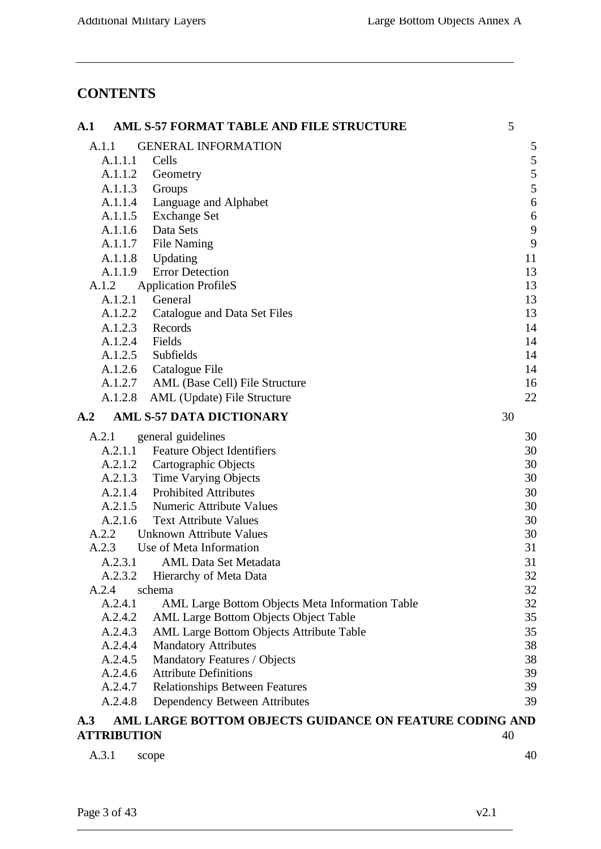# **CONTENTS**

| $\mathbf{A.1}$     | AML S-57 FORMAT TABLE AND FILE STRUCTURE                | 5  |
|--------------------|---------------------------------------------------------|----|
| A.1.1              | <b>GENERAL INFORMATION</b>                              | 5  |
| A.1.1.1            | Cells                                                   | 5  |
| A.1.1.2            | Geometry                                                | 5  |
| A.1.1.3            | Groups                                                  | 5  |
| A.1.1.4            | Language and Alphabet                                   | 6  |
| A.1.1.5            | <b>Exchange Set</b>                                     | 6  |
| A.1.1.6            | Data Sets                                               | 9  |
| A.1.1.7            | <b>File Naming</b>                                      | 9  |
| A.1.1.8            | Updating                                                | 11 |
| A.1.1.9            | <b>Error Detection</b>                                  | 13 |
| A.1.2              | <b>Application ProfileS</b>                             | 13 |
| A.1.2.1            | General                                                 | 13 |
| A.1.2.2            | Catalogue and Data Set Files                            | 13 |
| A.1.2.3            | Records                                                 | 14 |
| A.1.2.4            | Fields                                                  | 14 |
| A.1.2.5            | Subfields                                               | 14 |
| A.1.2.6            | Catalogue File                                          | 14 |
| A.1.2.7            | AML (Base Cell) File Structure                          | 16 |
| A.1.2.8            | AML (Update) File Structure                             | 22 |
| A.2                | <b>AML S-57 DATA DICTIONARY</b>                         | 30 |
| A.2.1              | general guidelines                                      | 30 |
| A.2.1.1            | <b>Feature Object Identifiers</b>                       | 30 |
| A.2.1.2            | Cartographic Objects                                    | 30 |
| A.2.1.3            | <b>Time Varying Objects</b>                             | 30 |
| A.2.1.4            | <b>Prohibited Attributes</b>                            | 30 |
| A.2.1.5            | <b>Numeric Attribute Values</b>                         | 30 |
| A.2.1.6            | <b>Text Attribute Values</b>                            | 30 |
| A.2.2              | Unknown Attribute Values                                | 30 |
| A.2.3              | Use of Meta Information                                 | 31 |
| A.2.3.1            | <b>AML Data Set Metadata</b>                            | 31 |
| A.2.3.2            | Hierarchy of Meta Data                                  | 32 |
| A.2.4              | schema                                                  | 32 |
| A.2.4.1            | AML Large Bottom Objects Meta Information Table         | 32 |
| A.2.4.2            | AML Large Bottom Objects Object Table                   | 35 |
| A.2.4.3            | <b>AML Large Bottom Objects Attribute Table</b>         | 35 |
| A.2.4.4            | <b>Mandatory Attributes</b>                             | 38 |
| A.2.4.5            | Mandatory Features / Objects                            | 38 |
| A.2.4.6            | <b>Attribute Definitions</b>                            | 39 |
| A.2.4.7            | <b>Relationships Between Features</b>                   | 39 |
| A.2.4.8            | Dependency Between Attributes                           | 39 |
| A.3                | AML LARGE BOTTOM OBJECTS GUIDANCE ON FEATURE CODING AND |    |
| <b>ATTRIBUTION</b> |                                                         | 40 |
| A.3.1              | scope                                                   | 40 |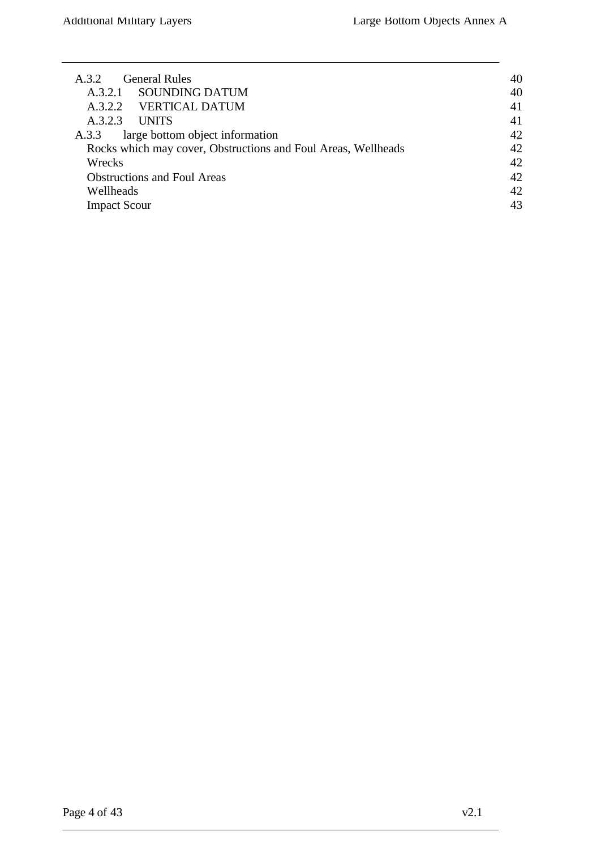| General Rules<br>A.3.2                                        | 40 |
|---------------------------------------------------------------|----|
| <b>SOUNDING DATUM</b><br>A.3.2.1                              | 40 |
| A.3.2.2 VERTICAL DATUM                                        | 41 |
| <b>UNITS</b><br>A.3.2.3                                       | 41 |
| large bottom object information<br>A.3.3                      | 42 |
| Rocks which may cover, Obstructions and Foul Areas, Wellheads | 42 |
| Wrecks                                                        | 42 |
| <b>Obstructions and Foul Areas</b>                            | 42 |
| Wellheads                                                     | 42 |
| <b>Impact Scour</b>                                           | 43 |
|                                                               |    |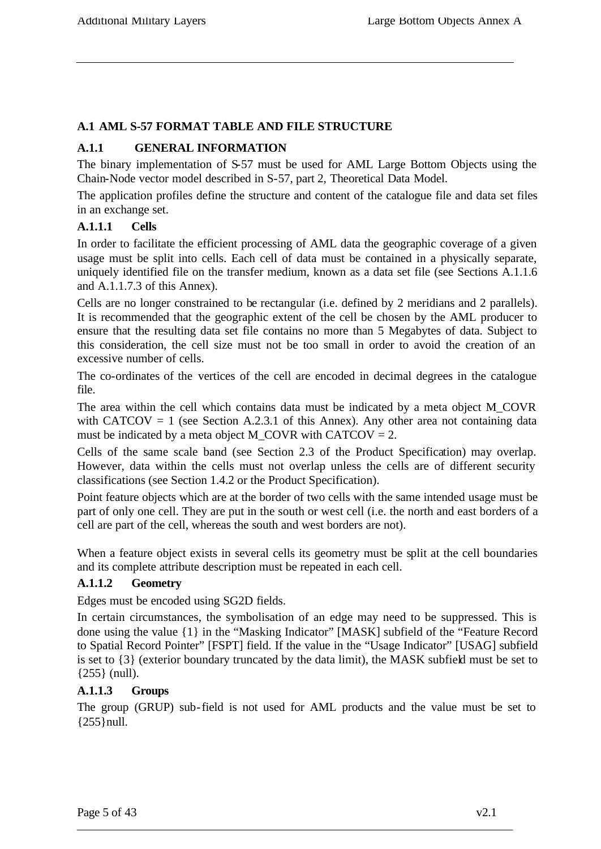## **A.1 AML S-57 FORMAT TABLE AND FILE STRUCTURE**

## **A.1.1 GENERAL INFORMATION**

The binary implementation of S-57 must be used for AML Large Bottom Objects using the Chain-Node vector model described in S-57, part 2, Theoretical Data Model.

The application profiles define the structure and content of the catalogue file and data set files in an exchange set.

## **A.1.1.1 Cells**

In order to facilitate the efficient processing of AML data the geographic coverage of a given usage must be split into cells. Each cell of data must be contained in a physically separate, uniquely identified file on the transfer medium, known as a data set file (see Sections A.1.1.6 and A.1.1.7.3 of this Annex).

Cells are no longer constrained to be rectangular (i.e. defined by 2 meridians and 2 parallels). It is recommended that the geographic extent of the cell be chosen by the AML producer to ensure that the resulting data set file contains no more than 5 Megabytes of data. Subject to this consideration, the cell size must not be too small in order to avoid the creation of an excessive number of cells.

The co-ordinates of the vertices of the cell are encoded in decimal degrees in the catalogue file.

The area within the cell which contains data must be indicated by a meta object M\_COVR with CATCOV = 1 (see Section A.2.3.1 of this Annex). Any other area not containing data must be indicated by a meta object M\_COVR with CATCOV =  $2$ .

Cells of the same scale band (see Section 2.3 of the Product Specification) may overlap. However, data within the cells must not overlap unless the cells are of different security classifications (see Section 1.4.2 or the Product Specification).

Point feature objects which are at the border of two cells with the same intended usage must be part of only one cell. They are put in the south or west cell (i.e. the north and east borders of a cell are part of the cell, whereas the south and west borders are not).

When a feature object exists in several cells its geometry must be split at the cell boundaries and its complete attribute description must be repeated in each cell.

# **A.1.1.2 Geometry**

Edges must be encoded using SG2D fields.

In certain circumstances, the symbolisation of an edge may need to be suppressed. This is done using the value {1} in the "Masking Indicator" [MASK] subfield of the "Feature Record to Spatial Record Pointer" [FSPT] field. If the value in the "Usage Indicator" [USAG] subfield is set to {3} (exterior boundary truncated by the data limit), the MASK subfield must be set to {255} (null).

## **A.1.1.3 Groups**

The group (GRUP) sub-field is not used for AML products and the value must be set to  ${255}$ }null.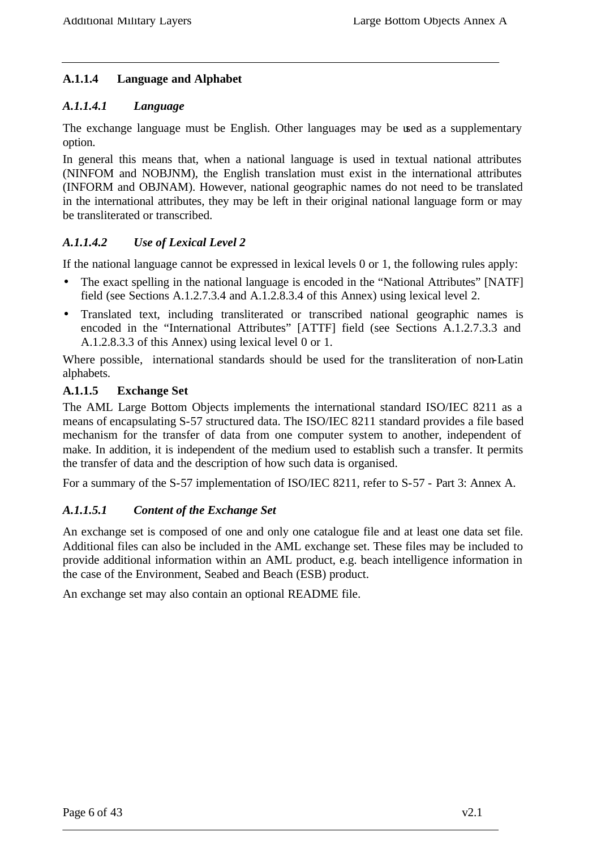## **A.1.1.4 Language and Alphabet**

## *A.1.1.4.1 Language*

The exchange language must be English. Other languages may be used as a supplementary option.

In general this means that, when a national language is used in textual national attributes (NINFOM and NOBJNM), the English translation must exist in the international attributes (INFORM and OBJNAM). However, national geographic names do not need to be translated in the international attributes, they may be left in their original national language form or may be transliterated or transcribed.

## *A.1.1.4.2 Use of Lexical Level 2*

If the national language cannot be expressed in lexical levels 0 or 1, the following rules apply:

- The exact spelling in the national language is encoded in the "National Attributes" [NATF] field (see Sections A.1.2.7.3.4 and A.1.2.8.3.4 of this Annex) using lexical level 2.
- Translated text, including transliterated or transcribed national geographic names is encoded in the "International Attributes" [ATTF] field (see Sections A.1.2.7.3.3 and A.1.2.8.3.3 of this Annex) using lexical level 0 or 1.

Where possible, international standards should be used for the transliteration of non-Latin alphabets.

#### **A.1.1.5 Exchange Set**

The AML Large Bottom Objects implements the international standard ISO/IEC 8211 as a means of encapsulating S-57 structured data. The ISO/IEC 8211 standard provides a file based mechanism for the transfer of data from one computer system to another, independent of make. In addition, it is independent of the medium used to establish such a transfer. It permits the transfer of data and the description of how such data is organised.

For a summary of the S-57 implementation of ISO/IEC 8211, refer to S-57 - Part 3: Annex A.

## *A.1.1.5.1 Content of the Exchange Set*

An exchange set is composed of one and only one catalogue file and at least one data set file. Additional files can also be included in the AML exchange set. These files may be included to provide additional information within an AML product, e.g. beach intelligence information in the case of the Environment, Seabed and Beach (ESB) product.

An exchange set may also contain an optional README file.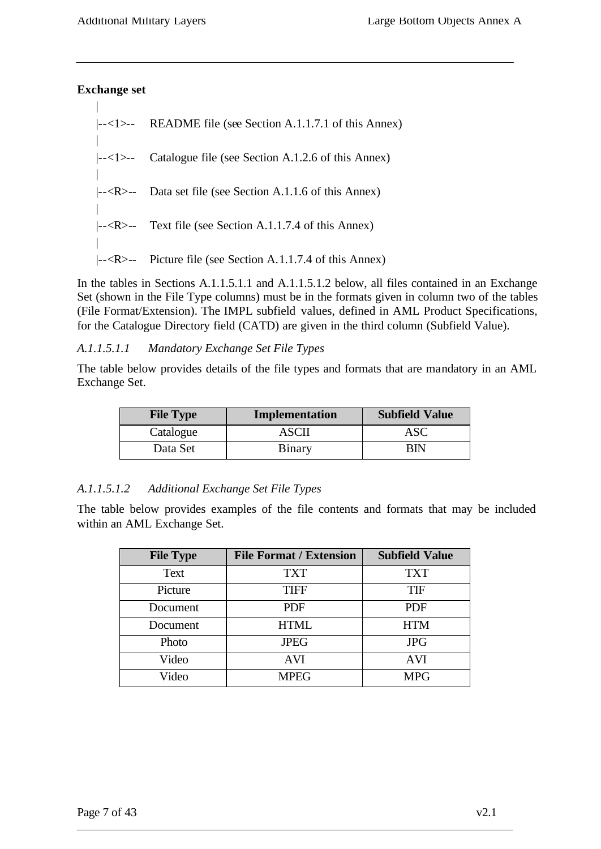## **Exchange set**

 $\overline{\phantom{a}}$ 

| $\left  \left  \right  <-1 \right $ README file (see Section A.1.1.7.1 of this Annex)                            |
|------------------------------------------------------------------------------------------------------------------|
| $\left  \frac{-\langle 1 \rangle}{\langle 1 \rangle} \right $ Catalogue file (see Section A.1.2.6 of this Annex) |
| $\left  \frac{-R}{-R} \right $ Data set file (see Section A.1.1.6 of this Annex)                                 |
| $\left  \left  \left  \right  < R \right  \right $ Text file (see Section A.1.1.7.4 of this Annex)               |
| $\left  \left  \right $ - <r>-- Picture file (see Section A.1.1.7.4 of this Annex)</r>                           |

In the tables in Sections A.1.1.5.1.1 and A.1.1.5.1.2 below, all files contained in an Exchange Set (shown in the File Type columns) must be in the formats given in column two of the tables (File Format/Extension). The IMPL subfield values, defined in AML Product Specifications, for the Catalogue Directory field (CATD) are given in the third column (Subfield Value).

## *A.1.1.5.1.1 Mandatory Exchange Set File Types*

The table below provides details of the file types and formats that are mandatory in an AML Exchange Set.

| <b>File Type</b> | Implementation | <b>Subfield Value</b> |
|------------------|----------------|-----------------------|
| Catalogue        | ASCI           | ASC                   |
| Data Set         | <b>Binary</b>  | RIN                   |

## *A.1.1.5.1.2 Additional Exchange Set File Types*

The table below provides examples of the file contents and formats that may be included within an AML Exchange Set.

| <b>File Type</b> | <b>File Format / Extension</b> | <b>Subfield Value</b> |
|------------------|--------------------------------|-----------------------|
| Text             | <b>TXT</b>                     | TXT                   |
| Picture          | <b>TIFF</b>                    | <b>TIF</b>            |
| Document         | <b>PDF</b>                     | <b>PDF</b>            |
| Document         | <b>HTML</b>                    | <b>HTM</b>            |
| Photo            | <b>JPEG</b>                    | <b>JPG</b>            |
| Video            | <b>AVI</b>                     | <b>AVI</b>            |
| Video            | <b>MPEG</b>                    | <b>MPG</b>            |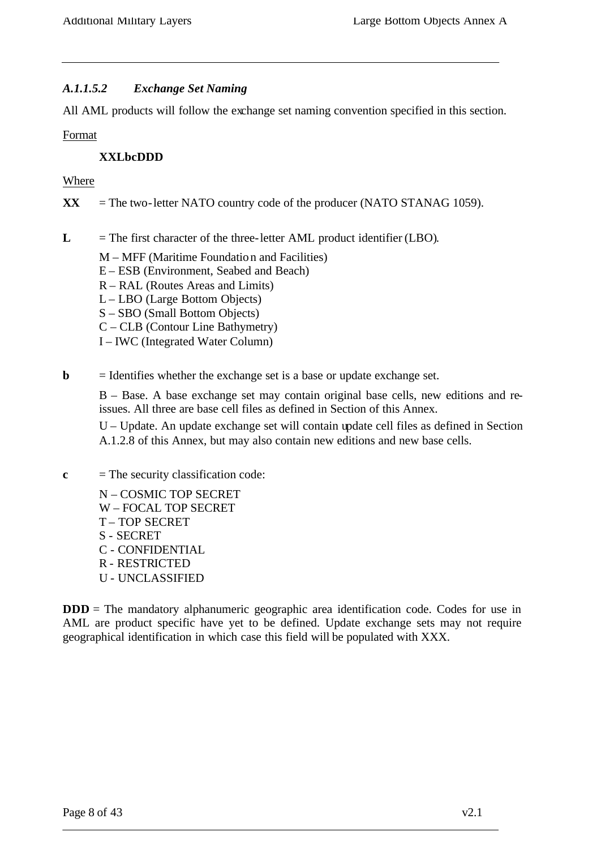#### *A.1.1.5.2 Exchange Set Naming*

All AML products will follow the exchange set naming convention specified in this section.

Format

#### **XXLbcDDD**

#### Where

 $\bf{XX}$  = The two-letter NATO country code of the producer (NATO STANAG 1059).

- $\mathbf{L}$  = The first character of the three-letter AML product identifier (LBO).
	- M MFF (Maritime Foundation and Facilities)
	- E ESB (Environment, Seabed and Beach)
	- R RAL (Routes Areas and Limits)
	- L LBO (Large Bottom Objects)
	- S SBO (Small Bottom Objects)
	- C CLB (Contour Line Bathymetry)
	- I IWC (Integrated Water Column)
- **= Identifies whether the exchange set is a base or update exchange set.**

B – Base. A base exchange set may contain original base cells, new editions and reissues. All three are base cell files as defined in Section of this Annex.

U – Update. An update exchange set will contain update cell files as defined in Section A.1.2.8 of this Annex, but may also contain new editions and new base cells.

- $c =$  The security classification code:
	- N COSMIC TOP SECRET W – FOCAL TOP SECRET T – TOP SECRET S - SECRET C - CONFIDENTIAL R - RESTRICTED U - UNCLASSIFIED

**DDD** = The mandatory alphanumeric geographic area identification code. Codes for use in AML are product specific have yet to be defined. Update exchange sets may not require geographical identification in which case this field will be populated with XXX.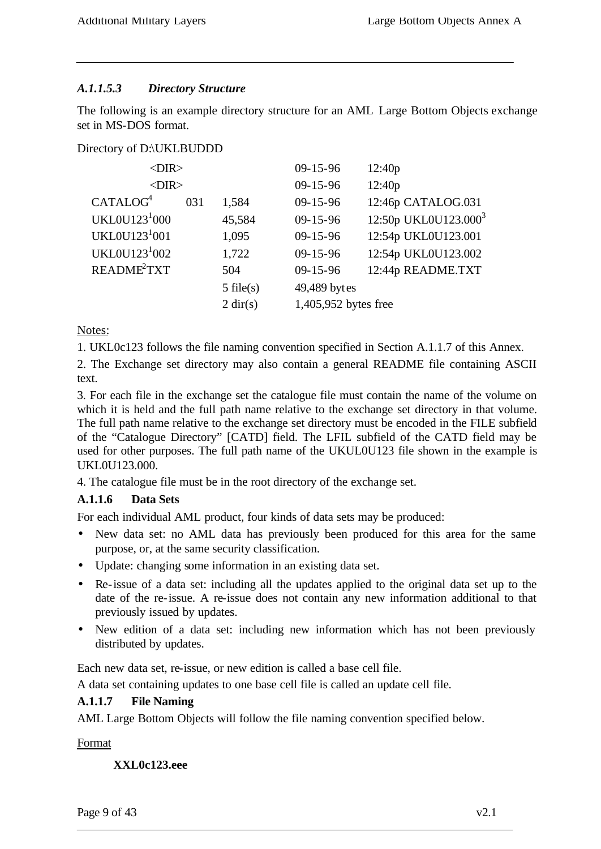## *A.1.1.5.3 Directory Structure*

The following is an example directory structure for an AML Large Bottom Objects exchange set in MS-DOS format.

Directory of D:\UKLBUDDD

| <dir></dir>               |     |                    | $09 - 15 - 96$       | 12:40p                           |
|---------------------------|-----|--------------------|----------------------|----------------------------------|
| $<$ DIR $>$               |     |                    | $09 - 15 - 96$       | 12:40p                           |
| CATALOG <sup>4</sup>      | 031 | 1,584              | $09 - 15 - 96$       | 12:46p CATALOG.031               |
| UKL0U123 <sup>1</sup> 000 |     | 45,584             | $09 - 15 - 96$       | 12:50p UKL0U123.000 <sup>3</sup> |
| UKL0U123 <sup>1</sup> 001 |     | 1,095              | $09 - 15 - 96$       | 12:54p UKL0U123.001              |
| UKL0U123 <sup>1</sup> 002 |     | 1,722              | $09 - 15 - 96$       | 12:54p UKL0U123.002              |
| README <sup>2</sup> TXT   |     | 504                | $09 - 15 - 96$       | 12:44p README.TXT                |
|                           |     | $5$ file(s)        | 49,489 bytes         |                                  |
|                           |     | $2 \text{ dir}(s)$ | 1,405,952 bytes free |                                  |
|                           |     |                    |                      |                                  |

Notes:

1. UKL0c123 follows the file naming convention specified in Section A.1.1.7 of this Annex.

2. The Exchange set directory may also contain a general README file containing ASCII text.

3. For each file in the exchange set the catalogue file must contain the name of the volume on which it is held and the full path name relative to the exchange set directory in that volume. The full path name relative to the exchange set directory must be encoded in the FILE subfield of the "Catalogue Directory" [CATD] field. The LFIL subfield of the CATD field may be used for other purposes. The full path name of the UKUL0U123 file shown in the example is UKL0U123.000.

4. The catalogue file must be in the root directory of the exchange set.

#### **A.1.1.6 Data Sets**

For each individual AML product, four kinds of data sets may be produced:

- New data set: no AML data has previously been produced for this area for the same purpose, or, at the same security classification.
- Update: changing some information in an existing data set.
- Re-issue of a data set: including all the updates applied to the original data set up to the date of the re-issue. A re-issue does not contain any new information additional to that previously issued by updates.
- New edition of a data set: including new information which has not been previously distributed by updates.

Each new data set, re-issue, or new edition is called a base cell file.

A data set containing updates to one base cell file is called an update cell file.

#### **A.1.1.7 File Naming**

AML Large Bottom Objects will follow the file naming convention specified below.

Format

**XXL0c123.eee**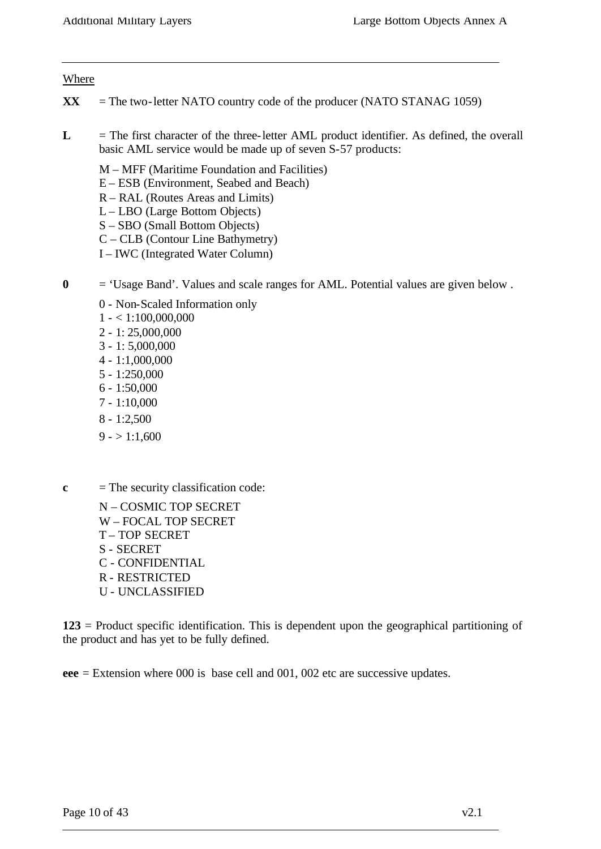#### Where

- $\bf{XX}$  = The two-letter NATO country code of the producer (NATO STANAG 1059)
- L = The first character of the three-letter AML product identifier. As defined, the overall basic AML service would be made up of seven S-57 products:
	- M MFF (Maritime Foundation and Facilities)
	- E ESB (Environment, Seabed and Beach)
	- R RAL (Routes Areas and Limits)
	- L LBO (Large Bottom Objects)
	- S SBO (Small Bottom Objects)
	- C CLB (Contour Line Bathymetry)
	- I IWC (Integrated Water Column)
- **0** = 'Usage Band'. Values and scale ranges for AML. Potential values are given below .
	- 0 Non-Scaled Information only
	- $1 1:100,000,000$
	- 2 1: 25,000,000
	- 3 1: 5,000,000
	- 4 1:1,000,000
	- 5 1:250,000
	- 6 1:50,000
	- 7 1:10,000
	- 8 1:2,500
	- $9 1:1,600$
- **c** = The security classification code:
	- N COSMIC TOP SECRET W – FOCAL TOP SECRET T – TOP SECRET S - SECRET C - CONFIDENTIAL R - RESTRICTED U - UNCLASSIFIED

**123** = Product specific identification. This is dependent upon the geographical partitioning of the product and has yet to be fully defined.

**eee** = Extension where 000 is base cell and 001, 002 etc are successive updates.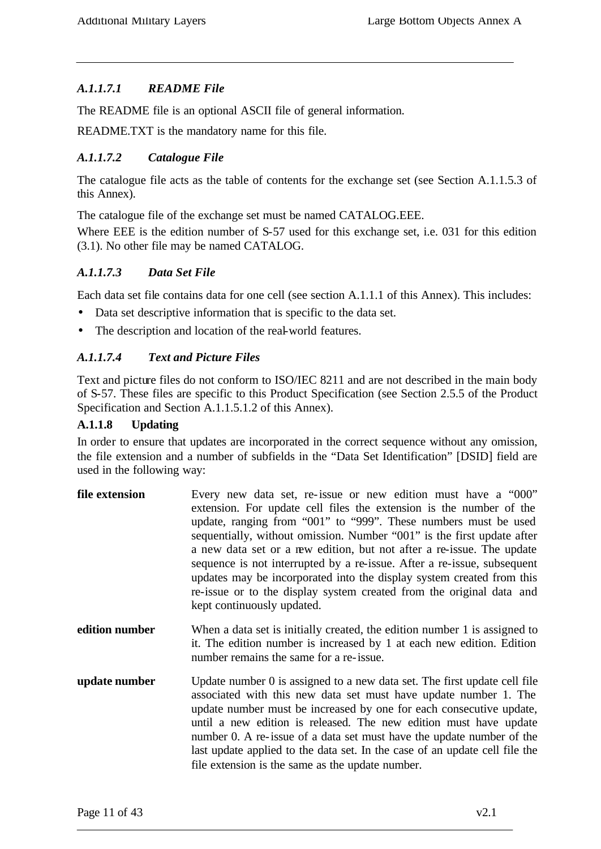## *A.1.1.7.1 README File*

The README file is an optional ASCII file of general information.

README.TXT is the mandatory name for this file.

#### *A.1.1.7.2 Catalogue File*

The catalogue file acts as the table of contents for the exchange set (see Section A.1.1.5.3 of this Annex).

The catalogue file of the exchange set must be named CATALOG.EEE.

Where EEE is the edition number of S-57 used for this exchange set, i.e. 031 for this edition (3.1). No other file may be named CATALOG.

#### *A.1.1.7.3 Data Set File*

Each data set file contains data for one cell (see section A.1.1.1 of this Annex). This includes:

- Data set descriptive information that is specific to the data set.
- The description and location of the real-world features.

## *A.1.1.7.4 Text and Picture Files*

Text and picture files do not conform to ISO/IEC 8211 and are not described in the main body of S-57. These files are specific to this Product Specification (see Section 2.5.5 of the Product Specification and Section A.1.1.5.1.2 of this Annex).

#### **A.1.1.8 Updating**

In order to ensure that updates are incorporated in the correct sequence without any omission, the file extension and a number of subfields in the "Data Set Identification" [DSID] field are used in the following way:

| file extension | Every new data set, re-issue or new edition must have a "000"<br>extension. For update cell files the extension is the number of the<br>update, ranging from "001" to "999". These numbers must be used<br>sequentially, without omission. Number "001" is the first update after<br>a new data set or a new edition, but not after a re-issue. The update<br>sequence is not interrupted by a re-issue. After a re-issue, subsequent<br>updates may be incorporated into the display system created from this<br>re-issue or to the display system created from the original data and |
|----------------|----------------------------------------------------------------------------------------------------------------------------------------------------------------------------------------------------------------------------------------------------------------------------------------------------------------------------------------------------------------------------------------------------------------------------------------------------------------------------------------------------------------------------------------------------------------------------------------|
|                | kept continuously updated.                                                                                                                                                                                                                                                                                                                                                                                                                                                                                                                                                             |

- **edition number** When a data set is initially created, the edition number 1 is assigned to it. The edition number is increased by 1 at each new edition. Edition number remains the same for a re-issue.
- **update number** Update number 0 is assigned to a new data set. The first update cell file associated with this new data set must have update number 1. The update number must be increased by one for each consecutive update, until a new edition is released. The new edition must have update number 0. A re-issue of a data set must have the update number of the last update applied to the data set. In the case of an update cell file the file extension is the same as the update number.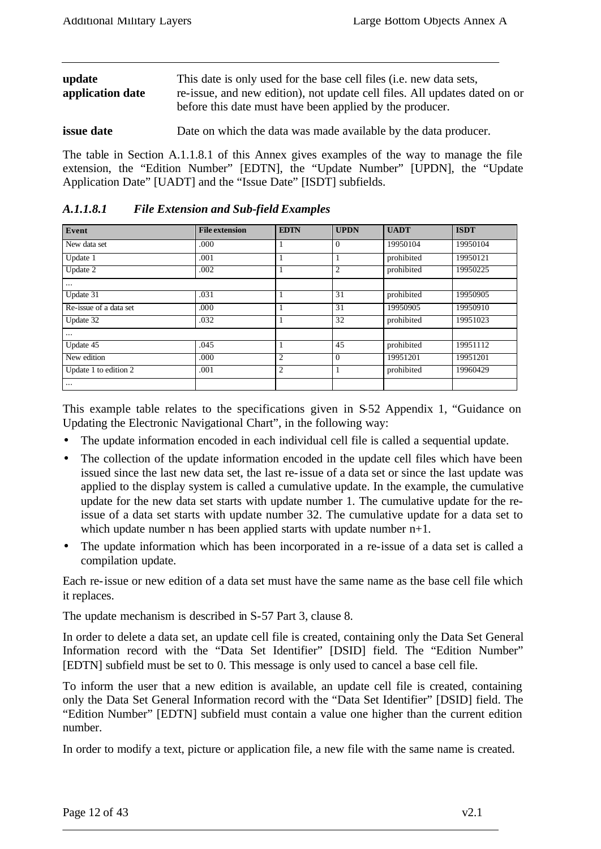| update<br>application date | This date is only used for the base cell files ( <i>i.e.</i> new data sets,<br>re-issue, and new edition), not update cell files. All updates dated on or<br>before this date must have been applied by the producer. |
|----------------------------|-----------------------------------------------------------------------------------------------------------------------------------------------------------------------------------------------------------------------|
| <i>issue date</i>          | Date on which the data was made available by the data producer.                                                                                                                                                       |

The table in Section A.1.1.8.1 of this Annex gives examples of the way to manage the file extension, the "Edition Number" [EDTN], the "Update Number" [UPDN], the "Update Application Date" [UADT] and the "Issue Date" [ISDT] subfields.

| Event                  | <b>File extension</b> | <b>EDTN</b>    | <b>UPDN</b> | <b>UADT</b> | <b>ISDT</b> |
|------------------------|-----------------------|----------------|-------------|-------------|-------------|
| New data set           | .000                  |                | 0           | 19950104    | 19950104    |
| Update 1               | .001                  |                |             | prohibited  | 19950121    |
| Update 2               | .002                  |                | 2           | prohibited  | 19950225    |
| $\cdots$               |                       |                |             |             |             |
| Update 31              | .031                  |                | 31          | prohibited  | 19950905    |
| Re-issue of a data set | .000                  |                | 31          | 19950905    | 19950910    |
| Update 32              | .032                  |                | 32          | prohibited  | 19951023    |
| $\cdots$               |                       |                |             |             |             |
| Update 45              | .045                  |                | 45          | prohibited  | 19951112    |
| New edition            | .000                  | $\overline{2}$ | $\theta$    | 19951201    | 19951201    |
| Update 1 to edition 2  | .001                  | $\overline{2}$ |             | prohibited  | 19960429    |
| $\cdots$               |                       |                |             |             |             |

*A.1.1.8.1 File Extension and Sub-field Examples*

This example table relates to the specifications given in S-52 Appendix 1, "Guidance on Updating the Electronic Navigational Chart", in the following way:

- The update information encoded in each individual cell file is called a sequential update.
- The collection of the update information encoded in the update cell files which have been issued since the last new data set, the last re-issue of a data set or since the last update was applied to the display system is called a cumulative update. In the example, the cumulative update for the new data set starts with update number 1. The cumulative update for the reissue of a data set starts with update number 32. The cumulative update for a data set to which update number n has been applied starts with update number  $n+1$ .
- The update information which has been incorporated in a re-issue of a data set is called a compilation update.

Each re-issue or new edition of a data set must have the same name as the base cell file which it replaces.

The update mechanism is described in S-57 Part 3, clause 8.

In order to delete a data set, an update cell file is created, containing only the Data Set General Information record with the "Data Set Identifier" [DSID] field. The "Edition Number" [EDTN] subfield must be set to 0. This message is only used to cancel a base cell file.

To inform the user that a new edition is available, an update cell file is created, containing only the Data Set General Information record with the "Data Set Identifier" [DSID] field. The "Edition Number" [EDTN] subfield must contain a value one higher than the current edition number.

In order to modify a text, picture or application file, a new file with the same name is created.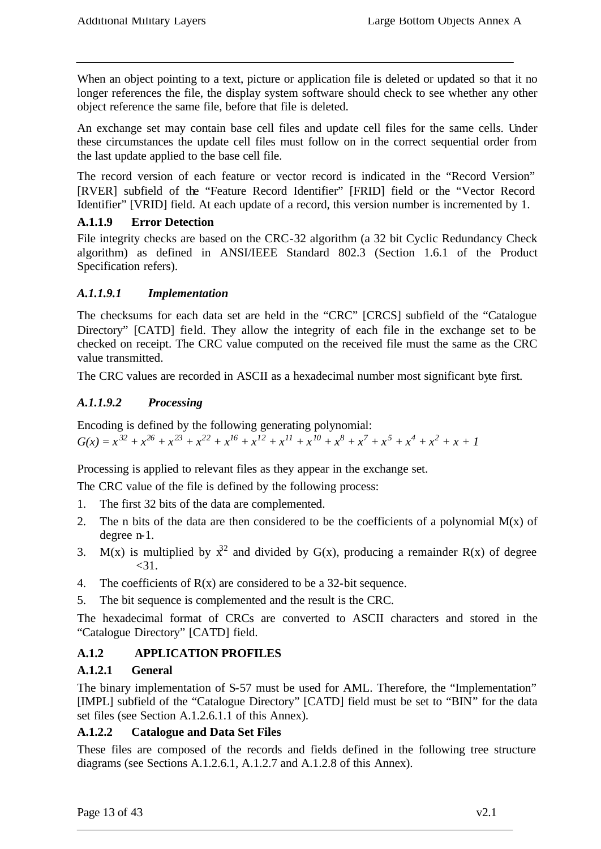When an object pointing to a text, picture or application file is deleted or updated so that it no longer references the file, the display system software should check to see whether any other object reference the same file, before that file is deleted.

An exchange set may contain base cell files and update cell files for the same cells. Under these circumstances the update cell files must follow on in the correct sequential order from the last update applied to the base cell file.

The record version of each feature or vector record is indicated in the "Record Version" [RVER] subfield of the "Feature Record Identifier" [FRID] field or the "Vector Record Identifier" [VRID] field. At each update of a record, this version number is incremented by 1.

## **A.1.1.9 Error Detection**

File integrity checks are based on the CRC-32 algorithm (a 32 bit Cyclic Redundancy Check algorithm) as defined in ANSI/IEEE Standard 802.3 (Section 1.6.1 of the Product Specification refers).

## *A.1.1.9.1 Implementation*

The checksums for each data set are held in the "CRC" [CRCS] subfield of the "Catalogue Directory" [CATD] field. They allow the integrity of each file in the exchange set to be checked on receipt. The CRC value computed on the received file must the same as the CRC value transmitted.

The CRC values are recorded in ASCII as a hexadecimal number most significant byte first.

# *A.1.1.9.2 Processing*

Encoding is defined by the following generating polynomial:  $G(x) = x^{32} + x^{26} + x^{23} + x^{22} + x^{16} + x^{12} + x^{11} + x^{10} + x^8 + x^7 + x^5 + x^4 + x^2 + x + 1$ 

Processing is applied to relevant files as they appear in the exchange set.

The CRC value of the file is defined by the following process:

- 1. The first 32 bits of the data are complemented.
- 2. The n bits of the data are then considered to be the coefficients of a polynomial  $M(x)$  of degree n-1.
- 3. M(x) is multiplied by  $\chi^2$  and divided by G(x), producing a remainder R(x) of degree  $<$ 31.
- 4. The coefficients of  $R(x)$  are considered to be a 32-bit sequence.
- 5. The bit sequence is complemented and the result is the CRC.

The hexadecimal format of CRCs are converted to ASCII characters and stored in the "Catalogue Directory" [CATD] field.

# **A.1.2 APPLICATION PROFILES**

## **A.1.2.1 General**

The binary implementation of S-57 must be used for AML. Therefore, the "Implementation" [IMPL] subfield of the "Catalogue Directory" [CATD] field must be set to "BIN" for the data set files (see Section A.1.2.6.1.1 of this Annex).

## **A.1.2.2 Catalogue and Data Set Files**

These files are composed of the records and fields defined in the following tree structure diagrams (see Sections A.1.2.6.1, A.1.2.7 and A.1.2.8 of this Annex).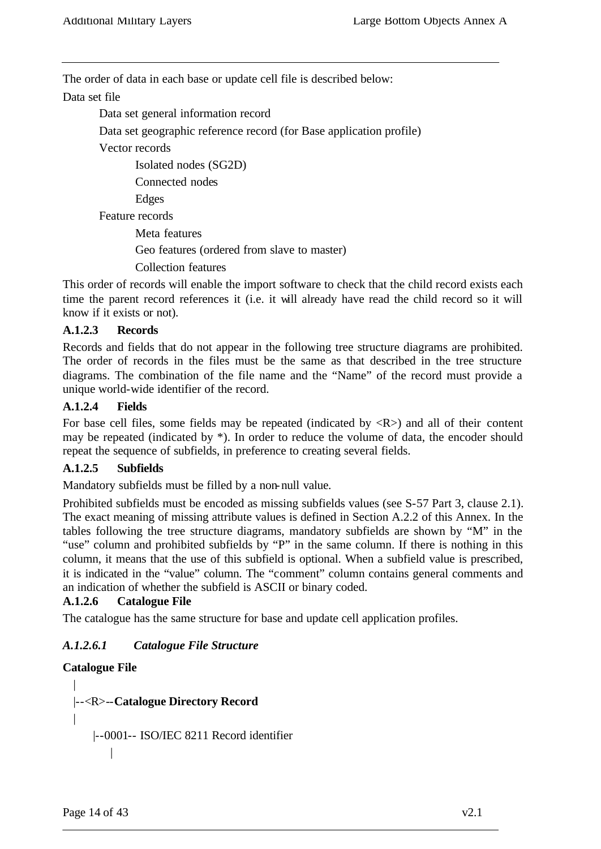The order of data in each base or update cell file is described below:

#### Data set file

Data set general information record

Data set geographic reference record (for Base application profile)

Vector records

Isolated nodes (SG2D)

Connected nodes

Edges

Feature records

Meta features Geo features (ordered from slave to master) Collection features

This order of records will enable the import software to check that the child record exists each time the parent record references it (i.e. it will already have read the child record so it will know if it exists or not).

## **A.1.2.3 Records**

Records and fields that do not appear in the following tree structure diagrams are prohibited. The order of records in the files must be the same as that described in the tree structure diagrams. The combination of the file name and the "Name" of the record must provide a unique world-wide identifier of the record.

## **A.1.2.4 Fields**

For base cell files, some fields may be repeated (indicated by  $\langle R \rangle$ ) and all of their content may be repeated (indicated by \*). In order to reduce the volume of data, the encoder should repeat the sequence of subfields, in preference to creating several fields.

## **A.1.2.5 Subfields**

Mandatory subfields must be filled by a non-null value.

Prohibited subfields must be encoded as missing subfields values (see S-57 Part 3, clause 2.1). The exact meaning of missing attribute values is defined in Section A.2.2 of this Annex. In the tables following the tree structure diagrams, mandatory subfields are shown by "M" in the "use" column and prohibited subfields by "P" in the same column. If there is nothing in this column, it means that the use of this subfield is optional. When a subfield value is prescribed, it is indicated in the "value" column. The "comment" column contains general comments and an indication of whether the subfield is ASCII or binary coded.

## **A.1.2.6 Catalogue File**

The catalogue has the same structure for base and update cell application profiles.

## *A.1.2.6.1 Catalogue File Structure*

## **Catalogue File**

```
|
|--<R>--Catalogue Directory Record 
|
    |--0001-- ISO/IEC 8211 Record identifier
       |
```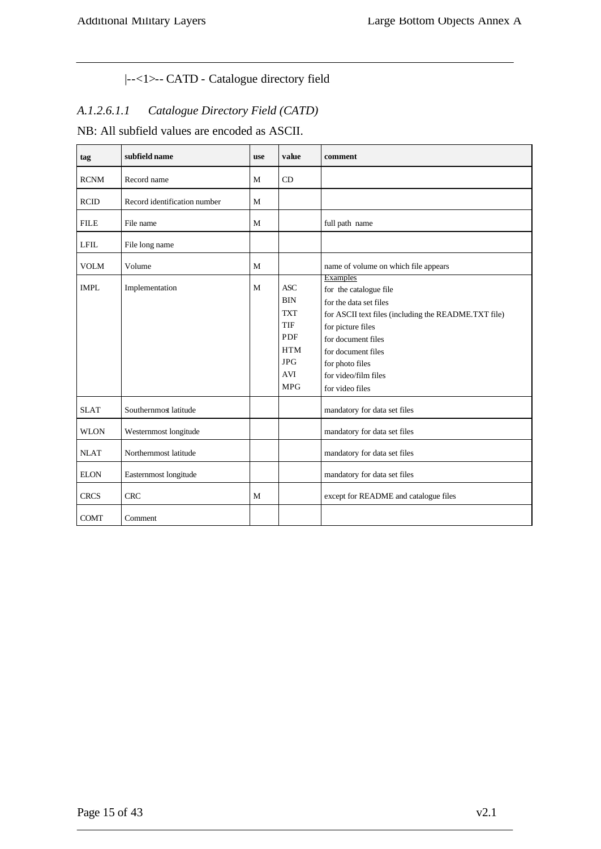# |--<1>-- CATD - Catalogue directory field

# *A.1.2.6.1.1 Catalogue Directory Field (CATD)*

NB: All subfield values are encoded as ASCII.

| tag         | subfield name                | <b>use</b> | value                                                                                                               | comment                                                                                                                                                                                                                                                    |
|-------------|------------------------------|------------|---------------------------------------------------------------------------------------------------------------------|------------------------------------------------------------------------------------------------------------------------------------------------------------------------------------------------------------------------------------------------------------|
| <b>RCNM</b> | Record name                  | M          | CD                                                                                                                  |                                                                                                                                                                                                                                                            |
| <b>RCID</b> | Record identification number | M          |                                                                                                                     |                                                                                                                                                                                                                                                            |
| <b>FILE</b> | File name                    | M          |                                                                                                                     | full path name                                                                                                                                                                                                                                             |
| <b>LFIL</b> | File long name               |            |                                                                                                                     |                                                                                                                                                                                                                                                            |
| <b>VOLM</b> | Volume                       | M          |                                                                                                                     | name of volume on which file appears                                                                                                                                                                                                                       |
| <b>IMPL</b> | Implementation               | M          | <b>ASC</b><br><b>BIN</b><br><b>TXT</b><br>TIF<br><b>PDF</b><br><b>HTM</b><br><b>JPG</b><br><b>AVI</b><br><b>MPG</b> | <b>Examples</b><br>for the catalogue file<br>for the data set files<br>for ASCII text files (including the README.TXT file)<br>for picture files<br>for document files<br>for document files<br>for photo files<br>for video/film files<br>for video files |
| <b>SLAT</b> | Southernmost latitude        |            |                                                                                                                     | mandatory for data set files                                                                                                                                                                                                                               |
| <b>WLON</b> | Westernmost longitude        |            |                                                                                                                     | mandatory for data set files                                                                                                                                                                                                                               |
| <b>NLAT</b> | Northernmost latitude        |            |                                                                                                                     | mandatory for data set files                                                                                                                                                                                                                               |
| <b>ELON</b> | Easternmost longitude        |            |                                                                                                                     | mandatory for data set files                                                                                                                                                                                                                               |
| <b>CRCS</b> | <b>CRC</b>                   | M          |                                                                                                                     | except for README and catalogue files                                                                                                                                                                                                                      |
| <b>COMT</b> | Comment                      |            |                                                                                                                     |                                                                                                                                                                                                                                                            |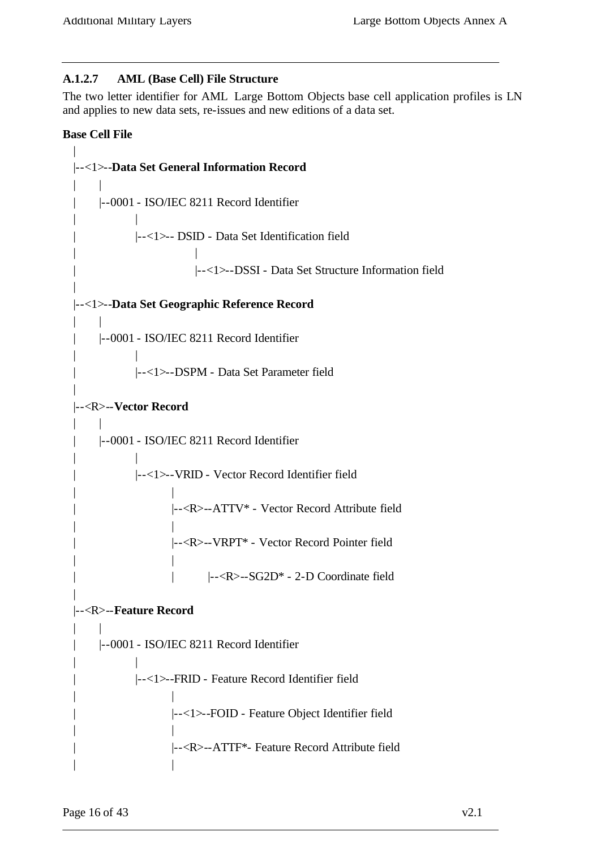## **A.1.2.7 AML (Base Cell) File Structure**

The two letter identifier for AML Large Bottom Objects base cell application profiles is LN and applies to new data sets, re-issues and new editions of a data set.

#### **Base Cell File**

```
| 
|--<1>--Data Set General Information Record
| \cdot || |--0001 - ISO/IEC 8211 Record Identifier
| |
          | |--<1>-- DSID - Data Set Identification field
| |
                     | |--<1>--DSSI - Data Set Structure Information field
|
|--<1>--Data Set Geographic Reference Record
\| \cdot \|| |--0001 - ISO/IEC 8211 Record Identifier
| |
          | |--<1>--DSPM - Data Set Parameter field
|
|--<R>--Vector Record
\| \cdot \|| |--0001 - ISO/IEC 8211 Record Identifier
| |
          | |--<1>--VRID - Vector Record Identifier field
| |
                 | |--<R>--ATTV* - Vector Record Attribute field
| |
                 | |--<R>--VRPT* - Vector Record Pointer field
| |
                 | | |--<R>--SG2D* - 2-D Coordinate field
|
|--<R>--Feature Record
| \cdot || |--0001 - ISO/IEC 8211 Record Identifier
| |
          | |--<1>--FRID - Feature Record Identifier field
| |
                 | |--<1>--FOID - Feature Object Identifier field
| |
                 | |--<R>--ATTF*- Feature Record Attribute field
| |
```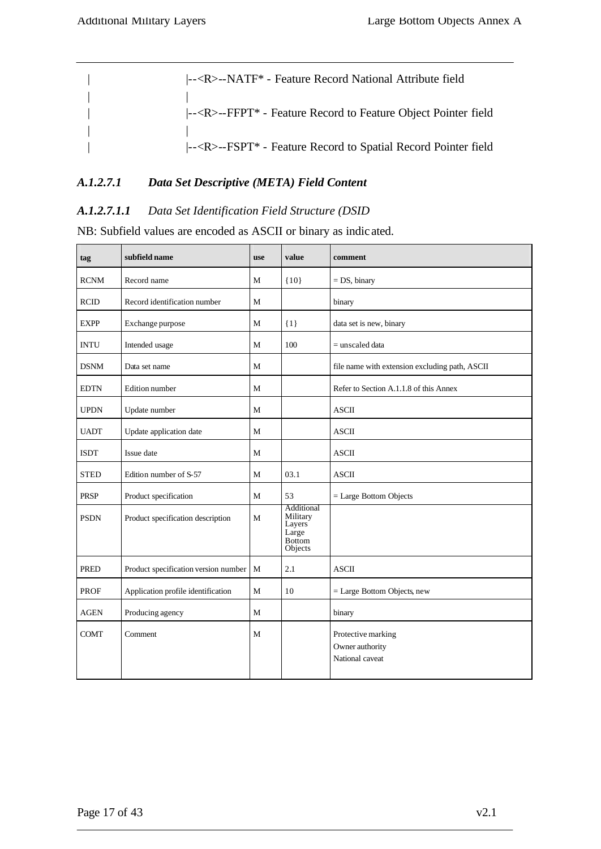| -- <r>--NATF* - Feature Record National Attribute field</r>                                    |
|------------------------------------------------------------------------------------------------|
|                                                                                                |
| $\left  - \langle R \rangle - FFPT^* \right $ - Feature Record to Feature Object Pointer field |
|                                                                                                |
| $\left  \frac{-R}{-R} \right $ - FSPT* - Feature Record to Spatial Record Pointer field        |

## *A.1.2.7.1 Data Set Descriptive (META) Field Content*

## *A.1.2.7.1.1 Data Set Identification Field Structure (DSID*

NB: Subfield values are encoded as ASCII or binary as indic ated.

| tag         | subfield name                        | <b>use</b>   | value                                                                 | comment                                                  |
|-------------|--------------------------------------|--------------|-----------------------------------------------------------------------|----------------------------------------------------------|
| <b>RCNM</b> | Record name                          | M            | ${10}$                                                                | $= DS$ , binary                                          |
| <b>RCID</b> | Record identification number         | M            |                                                                       | binary                                                   |
| <b>EXPP</b> | Exchange purpose                     | M            | $\{1\}$                                                               | data set is new, binary                                  |
| <b>INTU</b> | Intended usage                       | M            | 100                                                                   | $=$ unscaled data                                        |
| <b>DSNM</b> | Data set name                        | M            |                                                                       | file name with extension excluding path, ASCII           |
| <b>EDTN</b> | Edition number                       | M            |                                                                       | Refer to Section A.1.1.8 of this Annex                   |
| <b>UPDN</b> | Update number                        | M            |                                                                       | <b>ASCII</b>                                             |
| <b>UADT</b> | Update application date              | M            |                                                                       | <b>ASCII</b>                                             |
| <b>ISDT</b> | Issue date                           | M            |                                                                       | <b>ASCII</b>                                             |
| <b>STED</b> | Edition number of S-57               | $\mathbf{M}$ | 03.1                                                                  | <b>ASCII</b>                                             |
| <b>PRSP</b> | Product specification                | M            | 53                                                                    | $=$ Large Bottom Objects                                 |
| <b>PSDN</b> | Product specification description    | M            | Additional<br>Military<br>Layers<br>Large<br><b>Bottom</b><br>Objects |                                                          |
| <b>PRED</b> | Product specification version number | $\mathbf{M}$ | 2.1                                                                   | <b>ASCII</b>                                             |
| <b>PROF</b> | Application profile identification   | M            | 10                                                                    | $=$ Large Bottom Objects, new                            |
| <b>AGEN</b> | Producing agency                     | M            |                                                                       | binary                                                   |
| <b>COMT</b> | Comment                              | M            |                                                                       | Protective marking<br>Owner authority<br>National caveat |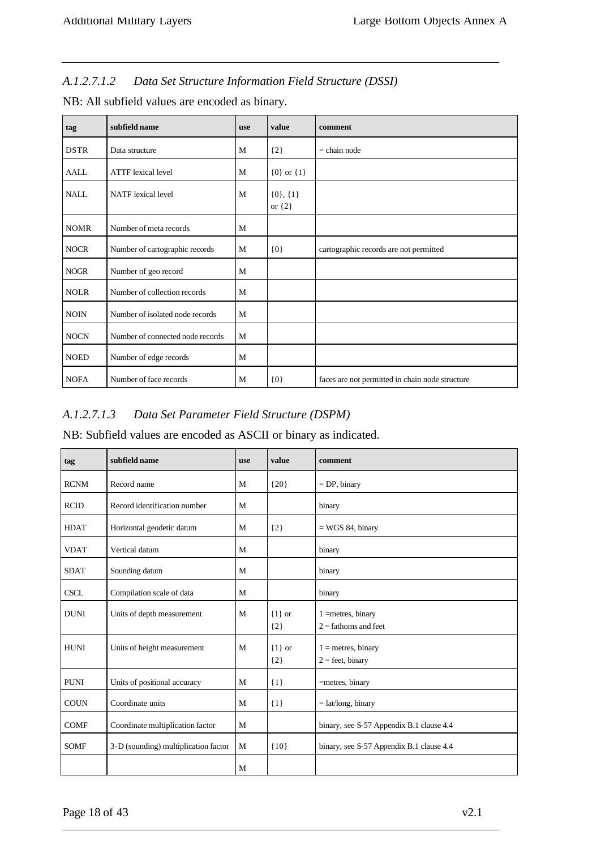# *A.1.2.7.1.2 Data Set Structure Information Field Structure (DSSI)*

| tag         | subfield name                    | <b>use</b> | value                        | comment                                         |
|-------------|----------------------------------|------------|------------------------------|-------------------------------------------------|
| <b>DSTR</b> | Data structure                   | M          | ${2}$                        | $=$ chain node                                  |
| <b>AALL</b> | <b>ATTF</b> lexical level        | M          | ${0}$ or ${1}$               |                                                 |
| <b>NALL</b> | <b>NATF</b> lexical level        | M          | $\{0\}, \{1\}$<br>or $\{2\}$ |                                                 |
| <b>NOMR</b> | Number of meta records           | M          |                              |                                                 |
| <b>NOCR</b> | Number of cartographic records   | M          | ${0}$                        | cartographic records are not permitted          |
| <b>NOGR</b> | Number of geo record             | M          |                              |                                                 |
| <b>NOLR</b> | Number of collection records     | M          |                              |                                                 |
| <b>NOIN</b> | Number of isolated node records  | M          |                              |                                                 |
| <b>NOCN</b> | Number of connected node records | M          |                              |                                                 |
| <b>NOED</b> | Number of edge records           | M          |                              |                                                 |
| <b>NOFA</b> | Number of face records           | M          | ${0}$                        | faces are not permitted in chain node structure |

NB: All subfield values are encoded as binary.

## *A.1.2.7.1.3 Data Set Parameter Field Structure (DSPM)*

NB: Subfield values are encoded as ASCII or binary as indicated.

| tag         | subfield name                        | <b>use</b> | value               | comment                                        |
|-------------|--------------------------------------|------------|---------------------|------------------------------------------------|
| <b>RCNM</b> | Record name                          | M          | ${20}$              | $=$ DP, binary                                 |
| <b>RCID</b> | Record identification number         | M          |                     | binary                                         |
| <b>HDAT</b> | Horizontal geodetic datum            | M          | ${2}$               | $=$ WGS 84, binary                             |
| <b>VDAT</b> | Vertical datum                       | M          |                     | binary                                         |
| <b>SDAT</b> | Sounding datum                       | M          |                     | binary                                         |
| <b>CSCL</b> | Compilation scale of data            | M          |                     | binary                                         |
| <b>DUNI</b> | Units of depth measurement           | M          | $\{1\}$ or<br>${2}$ | $1 =$ metres, binary<br>$2 =$ fathoms and feet |
| <b>HUNI</b> | Units of height measurement          | M          | $\{1\}$ or<br>${2}$ | $1 =$ metres, binary<br>$2 =$ feet, binary     |
| <b>PUNI</b> | Units of positional accuracy         | M          | $\{1\}$             | =metres, binary                                |
| <b>COUN</b> | Coordinate units                     | M          | ${1}$               | $=$ lat/long, binary                           |
| <b>COMF</b> | Coordinate multiplication factor     | M          |                     | binary, see S-57 Appendix B.1 clause 4.4       |
| <b>SOMF</b> | 3-D (sounding) multiplication factor | M          | ${10}$              | binary, see S-57 Appendix B.1 clause 4.4       |
|             |                                      | M          |                     |                                                |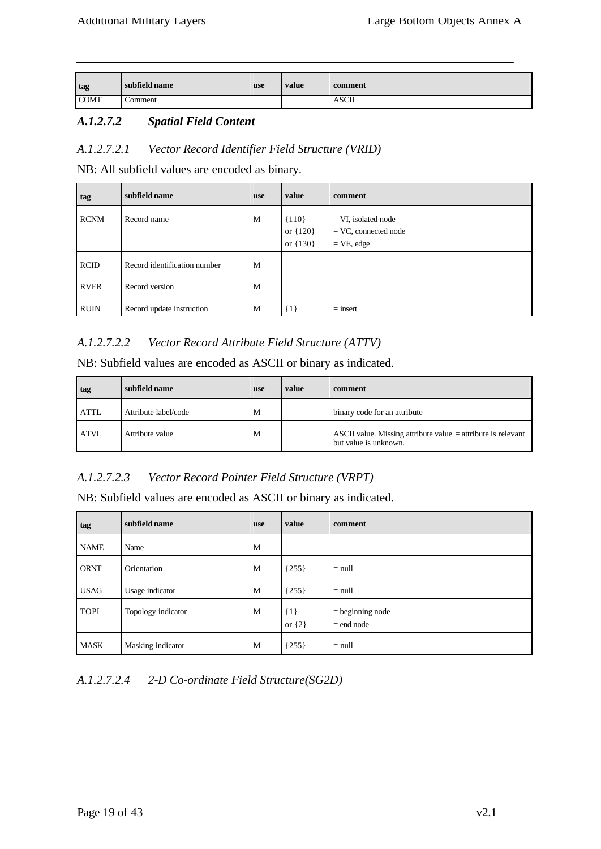| tag         | subfield name | use | value | comment      |
|-------------|---------------|-----|-------|--------------|
|             |               |     |       |              |
| <b>COMT</b> | Comment       |     |       | <b>ASCII</b> |
|             |               |     |       |              |

## *A.1.2.7.2 Spatial Field Content*

#### *A.1.2.7.2.1 Vector Record Identifier Field Structure (VRID)*

NB: All subfield values are encoded as binary.

| tag         | subfield name                | <b>use</b> | value                               | comment                                                          |
|-------------|------------------------------|------------|-------------------------------------|------------------------------------------------------------------|
| <b>RCNM</b> | Record name                  | M          | ${110}$<br>or ${120}$<br>or ${130}$ | $= VI$ , isolated node<br>$=$ VC, connected node<br>$=$ VE, edge |
| <b>RCID</b> | Record identification number | M          |                                     |                                                                  |
| <b>RVER</b> | Record version               | M          |                                     |                                                                  |
| <b>RUIN</b> | Record update instruction    | M          | $\{1\}$                             | $=$ insert                                                       |

#### *A.1.2.7.2.2 Vector Record Attribute Field Structure (ATTV)*

NB: Subfield values are encoded as ASCII or binary as indicated.

| tag         | subfield name        | <b>use</b> | value | comment                                                                                 |
|-------------|----------------------|------------|-------|-----------------------------------------------------------------------------------------|
| <b>ATTL</b> | Attribute label/code | М          |       | binary code for an attribute                                                            |
| <b>ATVL</b> | Attribute value      | M          |       | ASCII value. Missing attribute value $=$ attribute is relevant<br>but value is unknown. |

## *A.1.2.7.2.3 Vector Record Pointer Field Structure (VRPT)*

NB: Subfield values are encoded as ASCII or binary as indicated.

| tag         | subfield name      | <b>use</b> | value               | comment                            |
|-------------|--------------------|------------|---------------------|------------------------------------|
| <b>NAME</b> | Name               | M          |                     |                                    |
| <b>ORNT</b> | Orientation        | M          | ${255}$             | $=$ null                           |
| <b>USAG</b> | Usage indicator    | M          | ${255}$             | $=$ null                           |
| <b>TOPI</b> | Topology indicator | M          | ${1}$<br>or $\{2\}$ | $=$ beginning node<br>$=$ end node |
| <b>MASK</b> | Masking indicator  | M          | ${255}$             | $=$ null                           |

#### *A.1.2.7.2.4 2-D Co-ordinate Field Structure(SG2D)*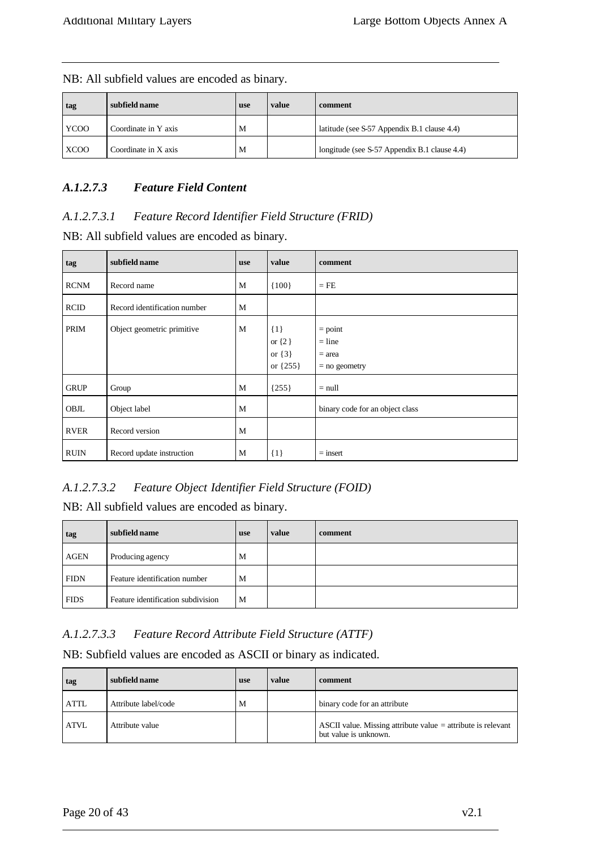| tag         | subfield name        | <b>use</b> | value | comment                                      |
|-------------|----------------------|------------|-------|----------------------------------------------|
| YCOO        | Coordinate in Y axis | M          |       | latitude (see S-57 Appendix B.1 clause 4.4)  |
| <b>XCOO</b> | Coordinate in X axis | M          |       | longitude (see S-57 Appendix B.1 clause 4.4) |

NB: All subfield values are encoded as binary.

## *A.1.2.7.3 Feature Field Content*

## *A.1.2.7.3.1 Feature Record Identifier Field Structure (FRID)*

NB: All subfield values are encoded as binary.

| tag         | subfield name                | <b>use</b> | value                                           | comment                                              |
|-------------|------------------------------|------------|-------------------------------------------------|------------------------------------------------------|
| <b>RCNM</b> | Record name                  | M          | ${100}$                                         | $=$ FE                                               |
| <b>RCID</b> | Record identification number | M          |                                                 |                                                      |
| PRIM        | Object geometric primitive   | M          | $\{1\}$<br>or $\{2\}$<br>or $\{3\}$<br>or {255} | $=$ point<br>$=$ line<br>$=$ area<br>$=$ no geometry |
| <b>GRUP</b> | Group                        | M          | ${255}$                                         | $=$ null                                             |
| OBJL        | Object label                 | M          |                                                 | binary code for an object class                      |
| <b>RVER</b> | Record version               | M          |                                                 |                                                      |
| <b>RUIN</b> | Record update instruction    | M          | $\{1\}$                                         | $=$ insert                                           |

## *A.1.2.7.3.2 Feature Object Identifier Field Structure (FOID)*

NB: All subfield values are encoded as binary.

| tag         | subfield name                      | <b>use</b> | value | comment |
|-------------|------------------------------------|------------|-------|---------|
| <b>AGEN</b> | Producing agency                   | M          |       |         |
| <b>FIDN</b> | Feature identification number      | M          |       |         |
| <b>FIDS</b> | Feature identification subdivision | M          |       |         |

## *A.1.2.7.3.3 Feature Record Attribute Field Structure (ATTF)*

NB: Subfield values are encoded as ASCII or binary as indicated.

| tag         | subfield name        | use | value | comment                                                                                 |
|-------------|----------------------|-----|-------|-----------------------------------------------------------------------------------------|
| <b>ATTL</b> | Attribute label/code | M   |       | binary code for an attribute                                                            |
| <b>ATVL</b> | Attribute value      |     |       | ASCII value. Missing attribute value $=$ attribute is relevant<br>but value is unknown. |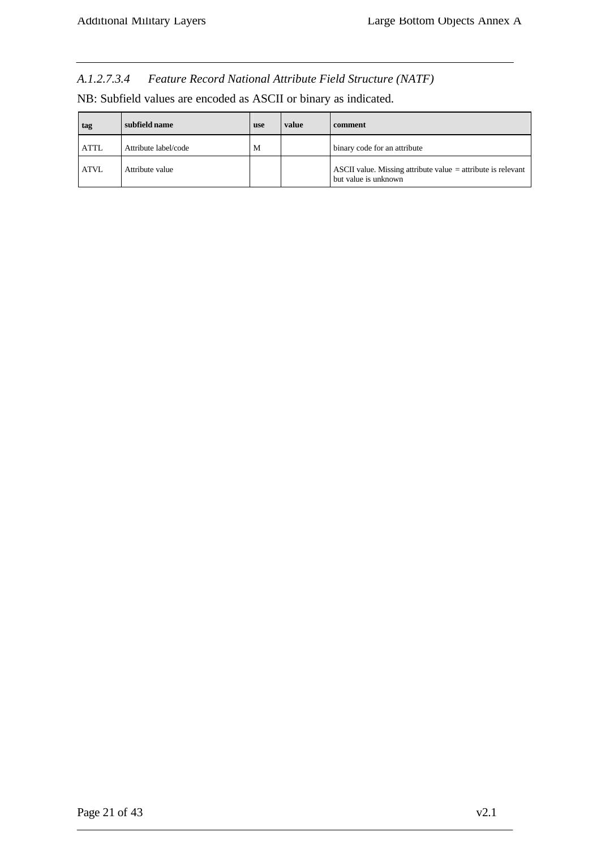*A.1.2.7.3.4 Feature Record National Attribute Field Structure (NATF)*

| NB: Subfield values are encoded as ASCII or binary as indicated. |
|------------------------------------------------------------------|
|------------------------------------------------------------------|

| tag         | subfield name        | <b>use</b> | value | comment                                                                                |
|-------------|----------------------|------------|-------|----------------------------------------------------------------------------------------|
| <b>ATTL</b> | Attribute label/code | M          |       | binary code for an attribute                                                           |
| <b>ATVL</b> | Attribute value      |            |       | ASCII value. Missing attribute value $=$ attribute is relevant<br>but value is unknown |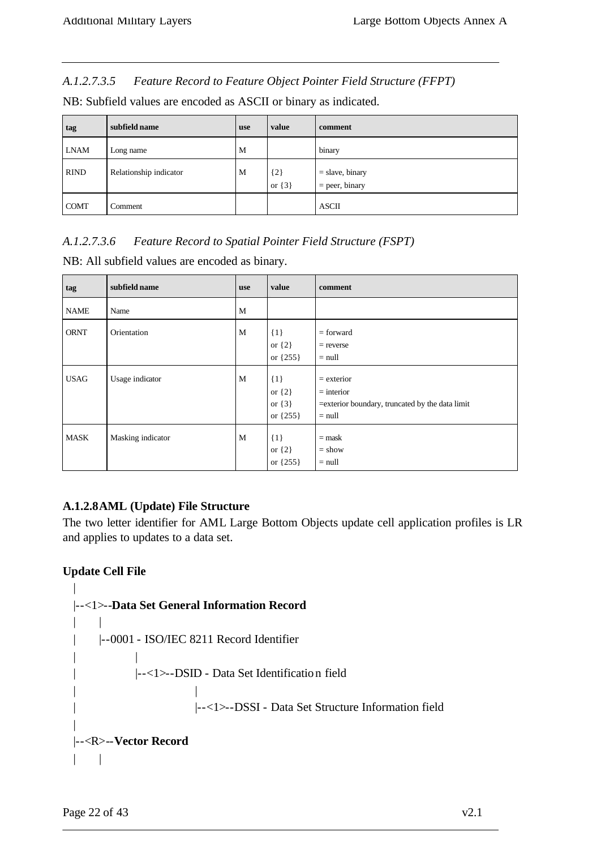*A.1.2.7.3.5 Feature Record to Feature Object Pointer Field Structure (FFPT)*

| tag         | subfield name          | <b>use</b> | value                 | comment                               |
|-------------|------------------------|------------|-----------------------|---------------------------------------|
| <b>LNAM</b> | Long name              | M          |                       | binary                                |
| <b>RIND</b> | Relationship indicator | M          | $\{2\}$<br>or $\{3\}$ | $=$ slave, binary<br>$=$ peer, binary |
| <b>COMT</b> | Comment                |            |                       | <b>ASCII</b>                          |

NB: Subfield values are encoded as ASCII or binary as indicated.

# *A.1.2.7.3.6 Feature Record to Spatial Pointer Field Structure (FSPT)*

NB: All subfield values are encoded as binary.

| tag         | subfield name     | <b>use</b> | value                                             | comment                                                                                     |
|-------------|-------------------|------------|---------------------------------------------------|---------------------------------------------------------------------------------------------|
| <b>NAME</b> | Name              | M          |                                                   |                                                                                             |
| <b>ORNT</b> | Orientation       | M          | $\{1\}$<br>or $\{2\}$<br>or ${255}$               | $=$ forward<br>$=$ reverse<br>$=$ null                                                      |
| <b>USAG</b> | Usage indicator   | M          | $\{1\}$<br>or $\{2\}$<br>or $\{3\}$<br>or ${255}$ | $=$ exterior<br>$=$ interior<br>=exterior boundary, truncated by the data limit<br>$=$ null |
| <b>MASK</b> | Masking indicator | M          | $\{1\}$<br>or $\{2\}$<br>or $\{255\}$             | $=$ mask<br>$=$ show<br>$=$ null                                                            |

## **A.1.2.8AML (Update) File Structure**

The two letter identifier for AML Large Bottom Objects update cell application profiles is LR and applies to updates to a data set.

## **Update Cell File**

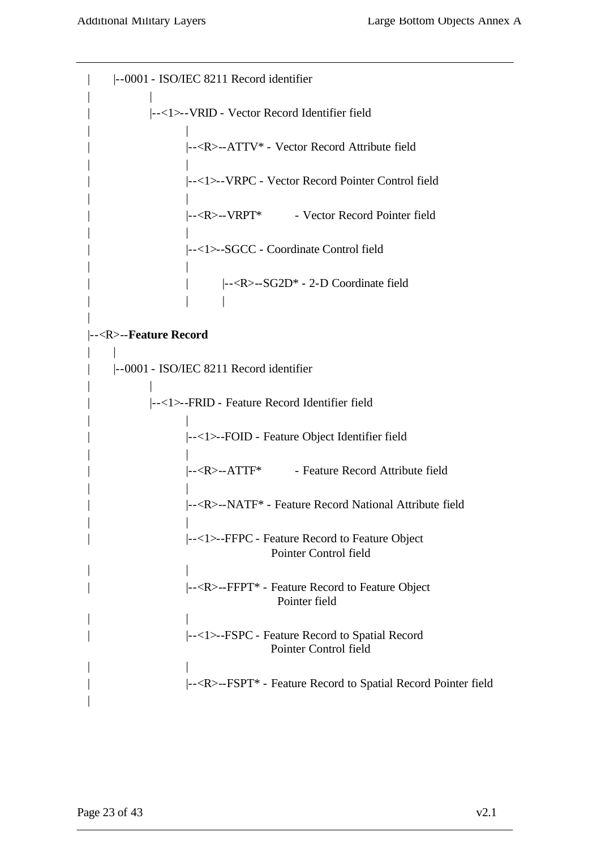|

| |--0001 - ISO/IEC 8211 Record identifier | | | |--<1>--VRID - Vector Record Identifier field | | | |--<R>--ATTV\* - Vector Record Attribute field | | | |--<1>--VRPC - Vector Record Pointer Control field | | |--<R>--VRPT\* - Vector Record Pointer field | | | |--<1>--SGCC - Coordinate Control field | | | | |--<R>--SG2D\* - 2-D Coordinate field | | | |--<R>--**Feature Record**  $\| \cdot \|$ | |--0001 - ISO/IEC 8211 Record identifier | | | |--<1>--FRID - Feature Record Identifier field | | | |--<1>--FOID - Feature Object Identifier field | | | |--<R>--ATTF\* - Feature Record Attribute field | | | |--<R>--NATF\* - Feature Record National Attribute field | | | |--<1>--FFPC - Feature Record to Feature Object Pointer Control field | | | |--<R>--FFPT\* - Feature Record to Feature Object Pointer field | | | |--<1>--FSPC - Feature Record to Spatial Record Pointer Control field | | | |--<R>--FSPT\* - Feature Record to Spatial Record Pointer field

|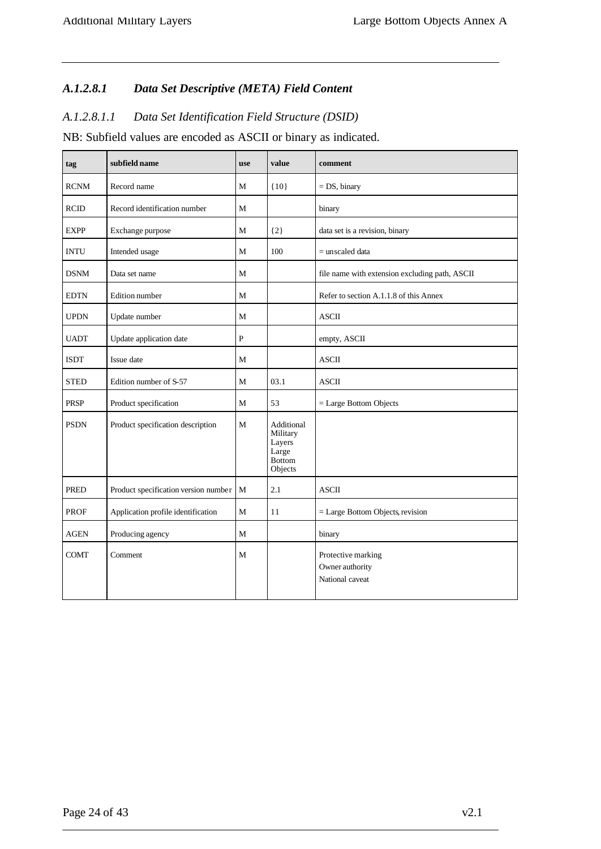# *A.1.2.8.1 Data Set Descriptive (META) Field Content*

## *A.1.2.8.1.1 Data Set Identification Field Structure (DSID)*

NB: Subfield values are encoded as ASCII or binary as indicated.

| tag         | subfield name                        | <b>use</b>     | value                                                                 | comment                                                  |
|-------------|--------------------------------------|----------------|-----------------------------------------------------------------------|----------------------------------------------------------|
| <b>RCNM</b> | Record name                          | M              | ${10}$                                                                | $= DS$ , binary                                          |
| <b>RCID</b> | Record identification number         | M              |                                                                       | binary                                                   |
| <b>EXPP</b> | Exchange purpose                     | $\mathbf{M}$   | ${2}$                                                                 | data set is a revision, binary                           |
| <b>INTU</b> | Intended usage                       | $\mathbf{M}$   | 100                                                                   | $=$ unscaled data                                        |
| <b>DSNM</b> | Data set name                        | M              |                                                                       | file name with extension excluding path, ASCII           |
| <b>EDTN</b> | Edition number                       | M              |                                                                       | Refer to section A.1.1.8 of this Annex                   |
| <b>UPDN</b> | Update number                        | M              |                                                                       | <b>ASCII</b>                                             |
| <b>UADT</b> | Update application date              | $\overline{P}$ |                                                                       | empty, ASCII                                             |
| <b>ISDT</b> | Issue date                           | M              |                                                                       | <b>ASCII</b>                                             |
| <b>STED</b> | Edition number of S-57               | $\mathbf{M}$   | 03.1                                                                  | <b>ASCII</b>                                             |
| <b>PRSP</b> | Product specification                | M              | 53                                                                    | = Large Bottom Objects                                   |
| <b>PSDN</b> | Product specification description    | M              | Additional<br>Military<br>Layers<br>Large<br><b>Bottom</b><br>Objects |                                                          |
| <b>PRED</b> | Product specification version number | M              | 2.1                                                                   | <b>ASCII</b>                                             |
| <b>PROF</b> | Application profile identification   | M              | 11                                                                    | $=$ Large Bottom Objects, revision                       |
| <b>AGEN</b> | Producing agency                     | $\mathbf{M}$   |                                                                       | binary                                                   |
| <b>COMT</b> | Comment                              | M              |                                                                       | Protective marking<br>Owner authority<br>National caveat |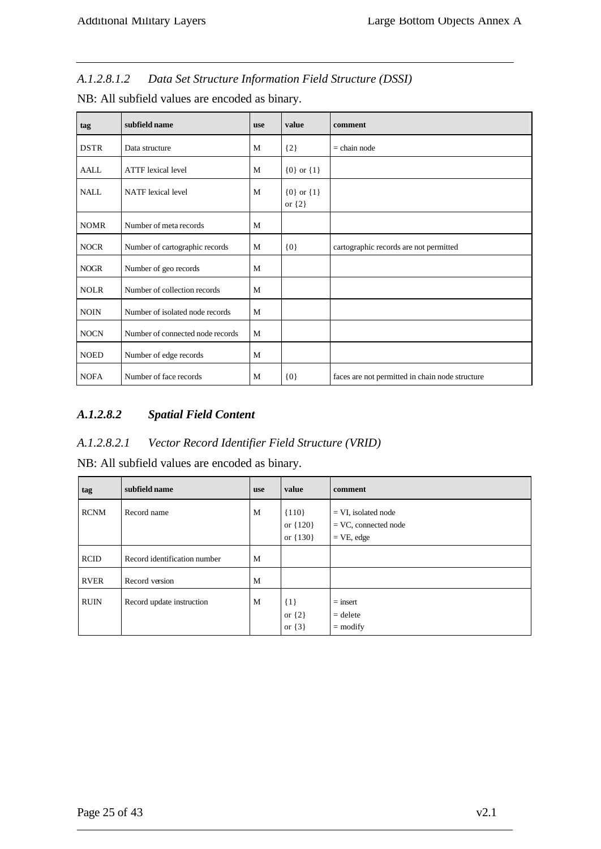*A.1.2.8.1.2 Data Set Structure Information Field Structure (DSSI)*

| tag         | subfield name                    | <b>use</b> | value                        | comment                                         |
|-------------|----------------------------------|------------|------------------------------|-------------------------------------------------|
| <b>DSTR</b> | Data structure                   | M          | ${2}$                        | $=$ chain node                                  |
| <b>AALL</b> | <b>ATTF</b> lexical level        | M          | ${0}$ or ${1}$               |                                                 |
| <b>NALL</b> | <b>NATF</b> lexical level        | M          | ${0}$ or ${1}$<br>or $\{2\}$ |                                                 |
| <b>NOMR</b> | Number of meta records           | M          |                              |                                                 |
| <b>NOCR</b> | Number of cartographic records   | M          | ${0}$                        | cartographic records are not permitted          |
| <b>NOGR</b> | Number of geo records            | M          |                              |                                                 |
| <b>NOLR</b> | Number of collection records     | M          |                              |                                                 |
| <b>NOIN</b> | Number of isolated node records  | M          |                              |                                                 |
| <b>NOCN</b> | Number of connected node records | M          |                              |                                                 |
| <b>NOED</b> | Number of edge records           | M          |                              |                                                 |
| <b>NOFA</b> | Number of face records           | M          | $\{0\}$                      | faces are not permitted in chain node structure |

NB: All subfield values are encoded as binary.

# *A.1.2.8.2 Spatial Field Content*

## *A.1.2.8.2.1 Vector Record Identifier Field Structure (VRID)*

NB: All subfield values are encoded as binary.

| tag         | subfield name                | <b>use</b> | value                               | comment                                                          |
|-------------|------------------------------|------------|-------------------------------------|------------------------------------------------------------------|
| <b>RCNM</b> | Record name                  | M          | ${110}$<br>or ${120}$<br>or ${130}$ | $= VI$ , isolated node<br>$=$ VC, connected node<br>$=$ VE, edge |
| <b>RCID</b> | Record identification number | M          |                                     |                                                                  |
| <b>RVER</b> | Record version               | M          |                                     |                                                                  |
| <b>RUIN</b> | Record update instruction    | M          | $\{1\}$<br>or $\{2\}$<br>or $\{3\}$ | $=$ insert<br>$=$ delete<br>$=$ modify                           |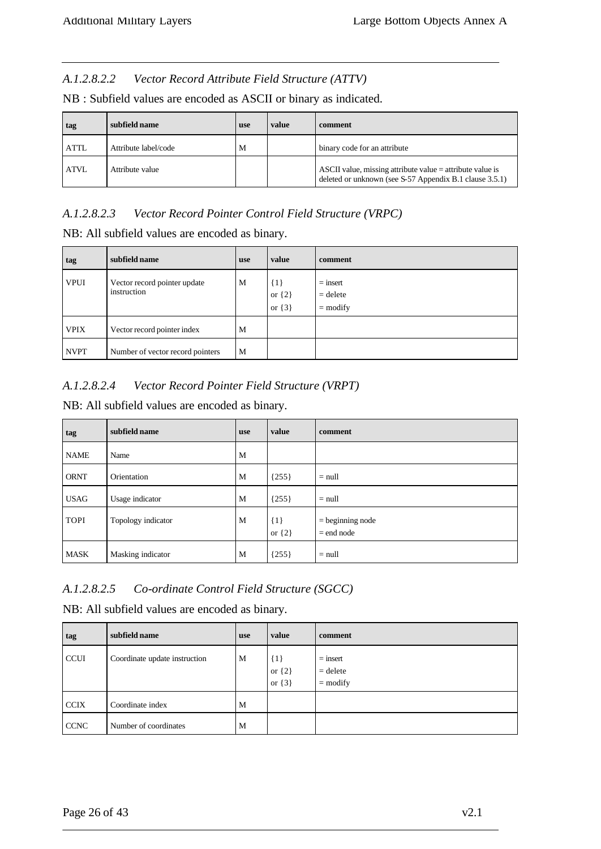#### *A.1.2.8.2.2 Vector Record Attribute Field Structure (ATTV)*

| tag         | subfield name        | <b>use</b> | value | comment                                                                                                                |
|-------------|----------------------|------------|-------|------------------------------------------------------------------------------------------------------------------------|
| <b>ATTL</b> | Attribute label/code | M          |       | binary code for an attribute                                                                                           |
| <b>ATVL</b> | Attribute value      |            |       | ASCII value, missing attribute value $=$ attribute value is<br>deleted or unknown (see S-57 Appendix B.1 clause 3.5.1) |

#### *A.1.2.8.2.3 Vector Record Pointer Control Field Structure (VRPC)*

NB: All subfield values are encoded as binary.

| tag         | subfield name                               | <b>use</b> | value                               | comment                                |
|-------------|---------------------------------------------|------------|-------------------------------------|----------------------------------------|
| <b>VPUI</b> | Vector record pointer update<br>instruction | M          | $\{1\}$<br>or $\{2\}$<br>or $\{3\}$ | $=$ insert<br>$=$ delete<br>$=$ modify |
| <b>VPIX</b> | Vector record pointer index                 | M          |                                     |                                        |
| <b>NVPT</b> | Number of vector record pointers            | M          |                                     |                                        |

## *A.1.2.8.2.4 Vector Record Pointer Field Structure (VRPT)*

NB: All subfield values are encoded as binary.

| tag         | subfield name      | <b>use</b> | value                 | comment                            |
|-------------|--------------------|------------|-----------------------|------------------------------------|
| <b>NAME</b> | Name               | M          |                       |                                    |
| <b>ORNT</b> | Orientation        | M          | ${255}$               | $=$ null                           |
| <b>USAG</b> | Usage indicator    | M          | ${255}$               | $=$ null                           |
| <b>TOPI</b> | Topology indicator | M          | $\{1\}$<br>or $\{2\}$ | $=$ beginning node<br>$=$ end node |
| <b>MASK</b> | Masking indicator  | M          | ${255}$               | $=$ null                           |

# *A.1.2.8.2.5 Co-ordinate Control Field Structure (SGCC)*

NB: All subfield values are encoded as binary.

| tag         | subfield name                 | <b>use</b> | value                               | comment                                |
|-------------|-------------------------------|------------|-------------------------------------|----------------------------------------|
| <b>CCUI</b> | Coordinate update instruction | M          | $\{1\}$<br>or $\{2\}$<br>or $\{3\}$ | $=$ insert<br>$=$ delete<br>$=$ modify |
| <b>CCIX</b> | Coordinate index              | M          |                                     |                                        |
| <b>CCNC</b> | Number of coordinates         | M          |                                     |                                        |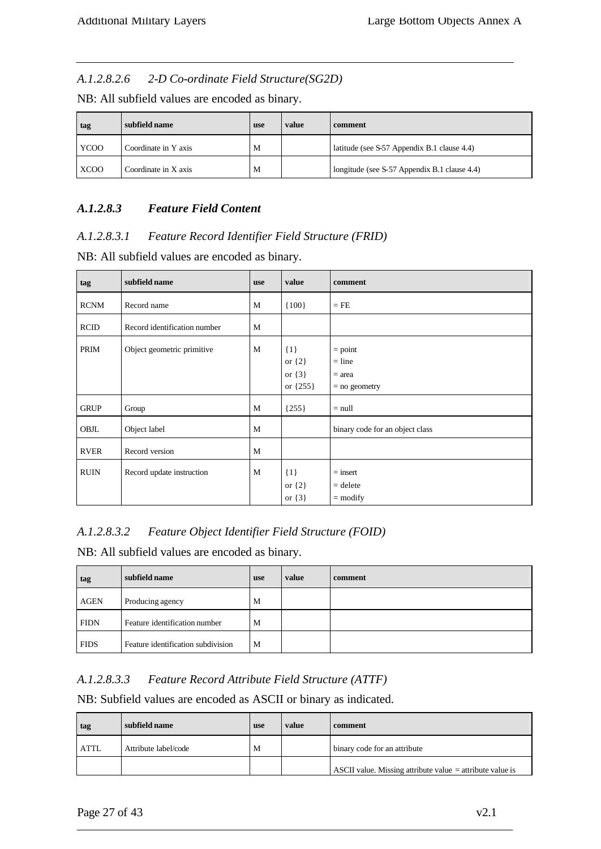#### *A.1.2.8.2.6 2-D Co-ordinate Field Structure(SG2D)*

NB: All subfield values are encoded as binary.

| tag         | subfield name        | <b>use</b> | value | comment                                      |
|-------------|----------------------|------------|-------|----------------------------------------------|
| <b>YCOO</b> | Coordinate in Y axis | M          |       | latitude (see S-57 Appendix B.1 clause 4.4)  |
| <b>XCOO</b> | Coordinate in X axis | M          |       | longitude (see S-57 Appendix B.1 clause 4.4) |

## *A.1.2.8.3 Feature Field Content*

## *A.1.2.8.3.1 Feature Record Identifier Field Structure (FRID)*

NB: All subfield values are encoded as binary.

| tag         | subfield name                | <b>use</b> | value                                             | comment                                              |
|-------------|------------------------------|------------|---------------------------------------------------|------------------------------------------------------|
| <b>RCNM</b> | Record name                  | M          | ${100}$                                           | $=$ FE                                               |
| <b>RCID</b> | Record identification number | M          |                                                   |                                                      |
| PRIM        | Object geometric primitive   | M          | ${1}$<br>or $\{2\}$<br>or $\{3\}$<br>or $\{255\}$ | $=$ point<br>$=$ line<br>$=$ area<br>$=$ no geometry |
| <b>GRUP</b> | Group                        | M          | ${255}$                                           | $=$ null                                             |
| OBJL        | Object label                 | M          |                                                   | binary code for an object class                      |
| <b>RVER</b> | Record version               | M          |                                                   |                                                      |
| <b>RUIN</b> | Record update instruction    | M          | $\{1\}$<br>or $\{2\}$<br>or $\{3\}$               | $=$ insert<br>$=$ delete<br>$=$ modify               |

## *A.1.2.8.3.2 Feature Object Identifier Field Structure (FOID)*

NB: All subfield values are encoded as binary.

| tag         | subfield name                      | use | value | comment |
|-------------|------------------------------------|-----|-------|---------|
| <b>AGEN</b> | Producing agency                   | M   |       |         |
| <b>FIDN</b> | Feature identification number      | M   |       |         |
| <b>FIDS</b> | Feature identification subdivision | M   |       |         |

## *A.1.2.8.3.3 Feature Record Attribute Field Structure (ATTF)*

NB: Subfield values are encoded as ASCII or binary as indicated.

| tag         | subfield name        | use | value | comment                                                     |
|-------------|----------------------|-----|-------|-------------------------------------------------------------|
| <b>ATTL</b> | Attribute label/code | M   |       | binary code for an attribute                                |
|             |                      |     |       | ASCII value. Missing attribute value $=$ attribute value is |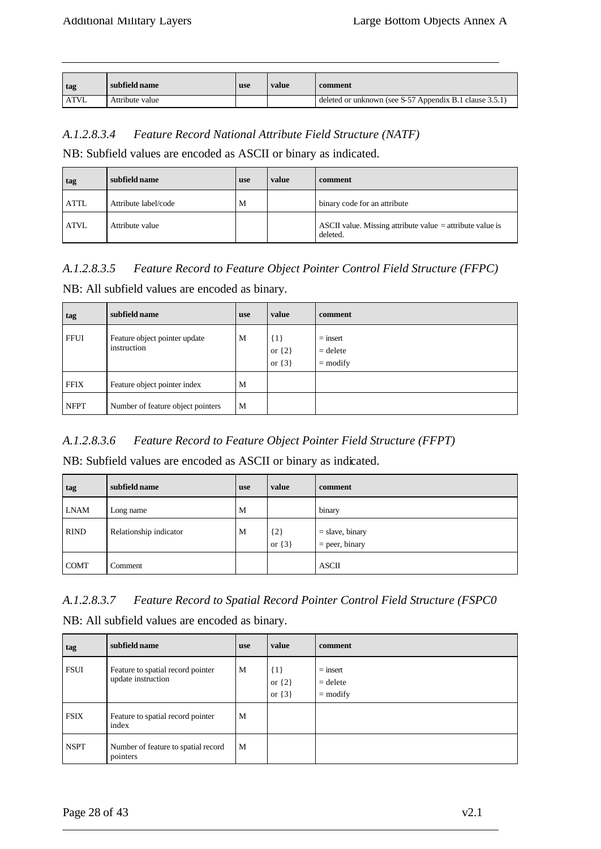|                  | subfield name   | use | value | comment                                                 |
|------------------|-----------------|-----|-------|---------------------------------------------------------|
| <sub>l</sub> tag |                 |     |       |                                                         |
|                  |                 |     |       |                                                         |
| <b>ATVL</b>      | Attribute value |     |       | deleted or unknown (see S-57 Appendix B.1 clause 3.5.1) |
|                  |                 |     |       |                                                         |

## *A.1.2.8.3.4 Feature Record National Attribute Field Structure (NATF)*

NB: Subfield values are encoded as ASCII or binary as indicated.

| tag         | subfield name        | <b>use</b> | value | comment                                                                 |
|-------------|----------------------|------------|-------|-------------------------------------------------------------------------|
| <b>ATTL</b> | Attribute label/code | M          |       | binary code for an attribute                                            |
| <b>ATVL</b> | Attribute value      |            |       | ASCII value. Missing attribute value $=$ attribute value is<br>deleted. |

# *A.1.2.8.3.5 Feature Record to Feature Object Pointer Control Field Structure (FFPC)*

NB: All subfield values are encoded as binary.

| tag         | subfield name                                | <b>use</b> | value                               | comment                                |
|-------------|----------------------------------------------|------------|-------------------------------------|----------------------------------------|
| <b>FFUI</b> | Feature object pointer update<br>instruction | M          | $\{1\}$<br>or $\{2\}$<br>or $\{3\}$ | $=$ insert<br>$=$ delete<br>$=$ modify |
| <b>FFIX</b> | Feature object pointer index                 | M          |                                     |                                        |
| <b>NFPT</b> | Number of feature object pointers            | M          |                                     |                                        |

# *A.1.2.8.3.6 Feature Record to Feature Object Pointer Field Structure (FFPT)*

NB: Subfield values are encoded as ASCII or binary as indicated.

| tag         | subfield name          | <b>use</b> | value                 | comment                               |
|-------------|------------------------|------------|-----------------------|---------------------------------------|
| <b>LNAM</b> | Long name              | M          |                       | binary                                |
| <b>RIND</b> | Relationship indicator | M          | $\{2\}$<br>or $\{3\}$ | $=$ slave, binary<br>$=$ peer, binary |
| <b>COMT</b> | Comment                |            |                       | <b>ASCII</b>                          |

*A.1.2.8.3.7 Feature Record to Spatial Record Pointer Control Field Structure (FSPC0* NB: All subfield values are encoded as binary.

| tag         | subfield name                                           | <b>use</b> | value                               | comment                                |
|-------------|---------------------------------------------------------|------------|-------------------------------------|----------------------------------------|
| <b>FSUI</b> | Feature to spatial record pointer<br>update instruction | M          | $\{1\}$<br>or $\{2\}$<br>or $\{3\}$ | $=$ insert<br>$=$ delete<br>$=$ modify |
| <b>FSIX</b> | Feature to spatial record pointer<br>index              | M          |                                     |                                        |
| <b>NSPT</b> | Number of feature to spatial record<br>pointers         | M          |                                     |                                        |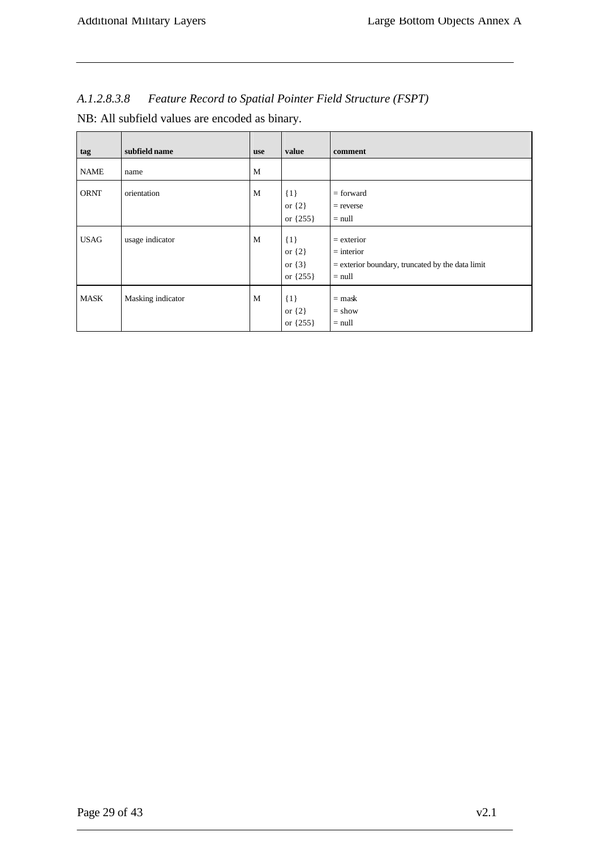| <b>Feature Record to Spatial Pointer Field Structure (FSPT)</b><br>A.1.2.8.3.8 |  |  |
|--------------------------------------------------------------------------------|--|--|
|--------------------------------------------------------------------------------|--|--|

| NB: All subfield values are encoded as binary. |  |  |  |
|------------------------------------------------|--|--|--|
|------------------------------------------------|--|--|--|

| tag         | subfield name     | <b>use</b> | value                                             | comment                                                                                        |
|-------------|-------------------|------------|---------------------------------------------------|------------------------------------------------------------------------------------------------|
| <b>NAME</b> | name              | M          |                                                   |                                                                                                |
| <b>ORNT</b> | orientation       | M          | $\{1\}$<br>or $\{2\}$<br>or ${255}$               | $=$ forward<br>$=$ reverse<br>$=$ null                                                         |
| <b>USAG</b> | usage indicator   | M          | $\{1\}$<br>or $\{2\}$<br>or $\{3\}$<br>or ${255}$ | $=$ exterior<br>$=$ interior<br>$=$ exterior boundary, truncated by the data limit<br>$=$ null |
| <b>MASK</b> | Masking indicator | M          | $\{1\}$<br>or $\{2\}$<br>or {255}                 | $=$ mask<br>$=$ show<br>$=$ null                                                               |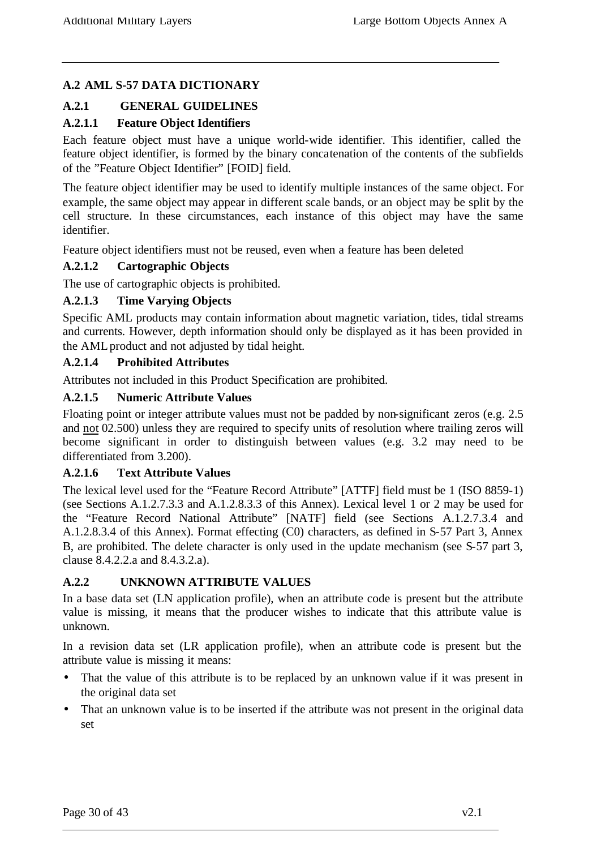# **A.2 AML S-57 DATA DICTIONARY**

## **A.2.1 GENERAL GUIDELINES**

## **A.2.1.1 Feature Object Identifiers**

Each feature object must have a unique world-wide identifier. This identifier, called the feature object identifier, is formed by the binary concatenation of the contents of the subfields of the "Feature Object Identifier" [FOID] field.

The feature object identifier may be used to identify multiple instances of the same object. For example, the same object may appear in different scale bands, or an object may be split by the cell structure. In these circumstances, each instance of this object may have the same identifier.

Feature object identifiers must not be reused, even when a feature has been deleted

## **A.2.1.2 Cartographic Objects**

The use of cartographic objects is prohibited.

#### **A.2.1.3 Time Varying Objects**

Specific AML products may contain information about magnetic variation, tides, tidal streams and currents. However, depth information should only be displayed as it has been provided in the AML product and not adjusted by tidal height.

#### **A.2.1.4 Prohibited Attributes**

Attributes not included in this Product Specification are prohibited.

#### **A.2.1.5 Numeric Attribute Values**

Floating point or integer attribute values must not be padded by non-significant zeros (e.g. 2.5 and not 02.500) unless they are required to specify units of resolution where trailing zeros will become significant in order to distinguish between values (e.g. 3.2 may need to be differentiated from 3.200).

#### **A.2.1.6 Text Attribute Values**

The lexical level used for the "Feature Record Attribute" [ATTF] field must be 1 (ISO 8859-1) (see Sections A.1.2.7.3.3 and A.1.2.8.3.3 of this Annex). Lexical level 1 or 2 may be used for the "Feature Record National Attribute" [NATF] field (see Sections A.1.2.7.3.4 and A.1.2.8.3.4 of this Annex). Format effecting (C0) characters, as defined in S-57 Part 3, Annex B, are prohibited. The delete character is only used in the update mechanism (see S-57 part 3, clause 8.4.2.2.a and 8.4.3.2.a).

## **A.2.2 UNKNOWN ATTRIBUTE VALUES**

In a base data set (LN application profile), when an attribute code is present but the attribute value is missing, it means that the producer wishes to indicate that this attribute value is unknown.

In a revision data set (LR application profile), when an attribute code is present but the attribute value is missing it means:

- That the value of this attribute is to be replaced by an unknown value if it was present in the original data set
- That an unknown value is to be inserted if the attribute was not present in the original data set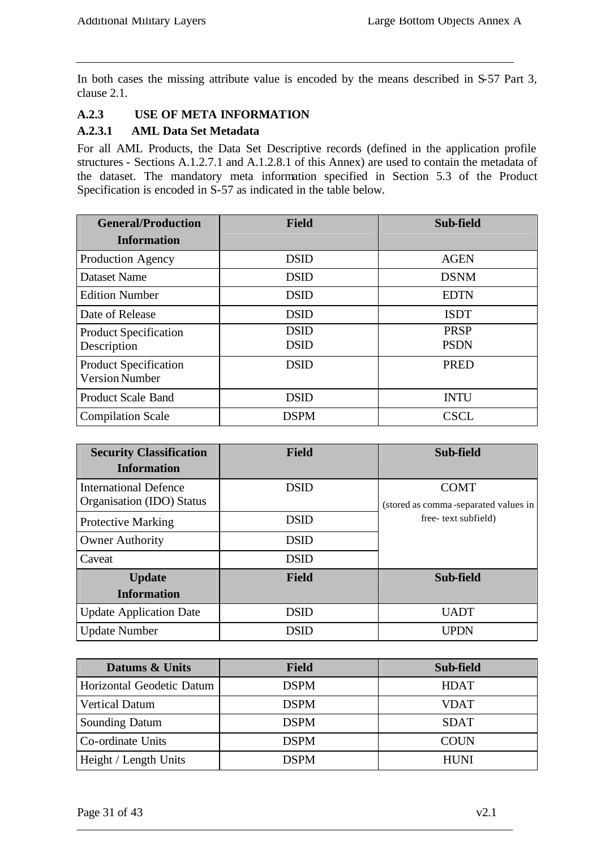In both cases the missing attribute value is encoded by the means described in S-57 Part 3, clause 2.1.

## **A.2.3 USE OF META INFORMATION**

#### **A.2.3.1 AML Data Set Metadata**

For all AML Products, the Data Set Descriptive records (defined in the application profile structures - Sections A.1.2.7.1 and A.1.2.8.1 of this Annex) are used to contain the metadata of the dataset. The mandatory meta information specified in Section 5.3 of the Product Specification is encoded in S-57 as indicated in the table below.

| <b>General/Production</b>                             | <b>Field</b>               | Sub-field                  |
|-------------------------------------------------------|----------------------------|----------------------------|
| <b>Information</b>                                    |                            |                            |
| Production Agency                                     | <b>DSID</b>                | <b>AGEN</b>                |
| <b>Dataset Name</b>                                   | <b>DSID</b>                | <b>DSNM</b>                |
| <b>Edition Number</b>                                 | <b>DSID</b>                | <b>EDTN</b>                |
| Date of Release                                       | <b>DSID</b>                | <b>ISDT</b>                |
| <b>Product Specification</b><br>Description           | <b>DSID</b><br><b>DSID</b> | <b>PRSP</b><br><b>PSDN</b> |
| <b>Product Specification</b><br><b>Version Number</b> | <b>DSID</b>                | <b>PRED</b>                |
| <b>Product Scale Band</b>                             | <b>DSID</b>                | <b>INTU</b>                |
| <b>Compilation Scale</b>                              | <b>DSPM</b>                | <b>CSCL</b>                |

| <b>Security Classification</b> | <b>Field</b> | Sub-field                            |
|--------------------------------|--------------|--------------------------------------|
| <b>Information</b>             |              |                                      |
| <b>International Defence</b>   | <b>DSID</b>  | <b>COMT</b>                          |
| Organisation (IDO) Status      |              | (stored as comma-separated values in |
| <b>Protective Marking</b>      | <b>DSID</b>  | free-text subfield)                  |
| <b>Owner Authority</b>         | <b>DSID</b>  |                                      |
| Caveat                         | <b>DSID</b>  |                                      |
| <b>Update</b>                  | <b>Field</b> | Sub-field                            |
| <b>Information</b>             |              |                                      |
| <b>Update Application Date</b> | <b>DSID</b>  | <b>UADT</b>                          |
| <b>Update Number</b>           | <b>DSID</b>  | <b>UPDN</b>                          |

| Datums & Units            | <b>Field</b> | Sub-field   |
|---------------------------|--------------|-------------|
| Horizontal Geodetic Datum | <b>DSPM</b>  | <b>HDAT</b> |
| <b>Vertical Datum</b>     | <b>DSPM</b>  | VDAT        |
| <b>Sounding Datum</b>     | <b>DSPM</b>  | <b>SDAT</b> |
| Co-ordinate Units         | <b>DSPM</b>  | <b>COUN</b> |
| Height / Length Units     | <b>DSPM</b>  | <b>HUNI</b> |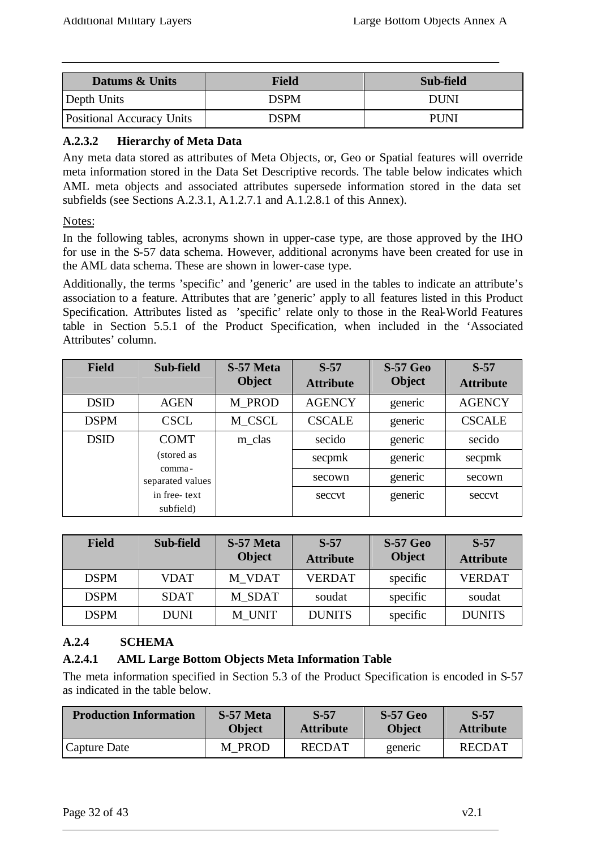| Datums & Units                   | <b>Field</b> | Sub-field   |
|----------------------------------|--------------|-------------|
| Depth Units                      | DSPM         | DUNI        |
| <b>Positional Accuracy Units</b> | DSPM         | <b>PUNI</b> |

## **A.2.3.2 Hierarchy of Meta Data**

Any meta data stored as attributes of Meta Objects, or, Geo or Spatial features will override meta information stored in the Data Set Descriptive records. The table below indicates which AML meta objects and associated attributes supersede information stored in the data set subfields (see Sections A.2.3.1, A.1.2.7.1 and A.1.2.8.1 of this Annex).

## Notes:

In the following tables, acronyms shown in upper-case type, are those approved by the IHO for use in the S-57 data schema. However, additional acronyms have been created for use in the AML data schema. These are shown in lower-case type.

Additionally, the terms 'specific' and 'generic' are used in the tables to indicate an attribute's association to a feature. Attributes that are 'generic' apply to all features listed in this Product Specification. Attributes listed as 'specific' relate only to those in the Real-World Features table in Section 5.5.1 of the Product Specification, when included in the 'Associated Attributes' column.

| <b>Field</b> | Sub-field                  | S-57 Meta<br><b>Object</b> | $S-57$<br><b>Attribute</b> | <b>S-57 Geo</b><br><b>Object</b> | $S-57$<br><b>Attribute</b> |
|--------------|----------------------------|----------------------------|----------------------------|----------------------------------|----------------------------|
| <b>DSID</b>  | <b>AGEN</b>                | M PROD                     | <b>AGENCY</b>              | generic                          | <b>AGENCY</b>              |
| <b>DSPM</b>  | <b>CSCL</b>                | M_CSCL                     | <b>CSCALE</b>              | generic                          | <b>CSCALE</b>              |
| <b>DSID</b>  | <b>COMT</b>                | m_clas                     | secido                     | generic                          | secido                     |
|              | (stored as                 |                            | secpmk                     | generic                          | secpmk                     |
|              | comma-<br>separated values |                            | secown                     | generic                          | secown                     |
|              | in free-text<br>subfield)  |                            | seccyt                     | generic                          | seccvt                     |

| <b>Field</b> | Sub-field   | S-57 Meta<br><b>Object</b> | $S-57$<br><b>Attribute</b> | <b>S-57 Geo</b><br><b>Object</b> | $S-57$<br><b>Attribute</b> |
|--------------|-------------|----------------------------|----------------------------|----------------------------------|----------------------------|
| <b>DSPM</b>  | <b>VDAT</b> | M VDAT                     | <b>VERDAT</b>              | specific                         | <b>VERDAT</b>              |
| <b>DSPM</b>  | SDAT        | M SDAT                     | soudat                     | specific                         | soudat                     |
| <b>DSPM</b>  | <b>DUNI</b> | M UNIT                     | <b>DUNITS</b>              | specific                         | <b>DUNITS</b>              |

# **A.2.4 SCHEMA**

# **A.2.4.1 AML Large Bottom Objects Meta Information Table**

The meta information specified in Section 5.3 of the Product Specification is encoded in S-57 as indicated in the table below.

| <b>Production Information</b> | S-57 Meta        | $S-57$           | <b>S-57 Geo</b> | $S-57$           |
|-------------------------------|------------------|------------------|-----------------|------------------|
|                               | <b>Object</b>    | <b>Attribute</b> | <b>Object</b>   | <b>Attribute</b> |
| Capture Date                  | <b>PROD</b><br>M | <b>RECDAT</b>    | generic         | RECDAT           |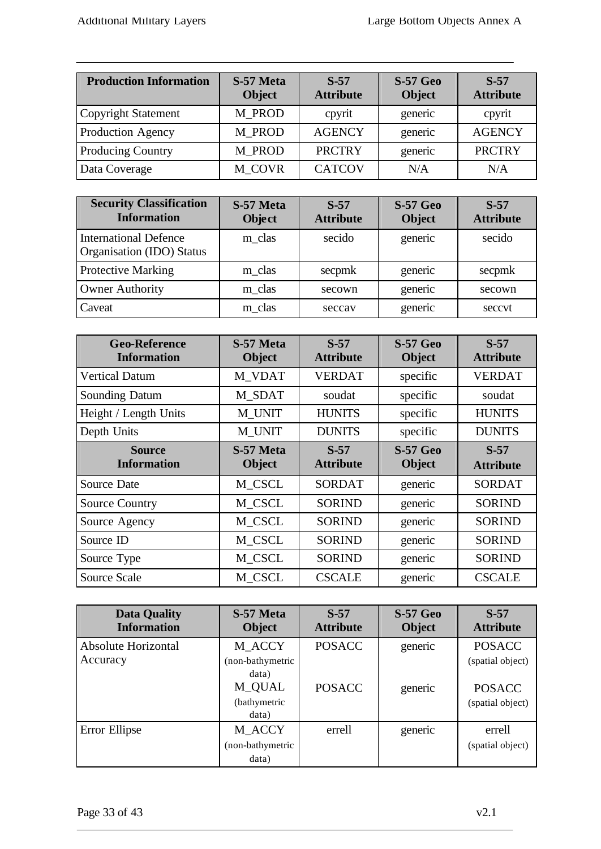| <b>Production Information</b> | S-57 Meta<br><b>Object</b> | $S-57$<br><b>Attribute</b> | <b>S-57 Geo</b><br><b>Object</b> | $S-57$<br><b>Attribute</b> |
|-------------------------------|----------------------------|----------------------------|----------------------------------|----------------------------|
| Copyright Statement           | M PROD                     | cpyrit                     | generic                          | cpyrit                     |
| <b>Production Agency</b>      | M PROD                     | <b>AGENCY</b>              | generic                          | <b>AGENCY</b>              |
| <b>Producing Country</b>      | M PROD                     | <b>PRCTRY</b>              | generic                          | <b>PRCTRY</b>              |
| Data Coverage                 | M COVR                     | <b>CATCOV</b>              | N/A                              | N/A                        |

| <b>Security Classification</b><br><b>Information</b>      | S-57 Meta<br><b>Object</b> | $S-57$<br><b>Attribute</b> | <b>S-57 Geo</b><br><b>Object</b> | $S-57$<br><b>Attribute</b> |
|-----------------------------------------------------------|----------------------------|----------------------------|----------------------------------|----------------------------|
| <b>International Defence</b><br>Organisation (IDO) Status | m clas                     | secido                     | generic                          | secido                     |
| <b>Protective Marking</b>                                 | m_clas                     | secpmk                     | generic                          | secpmk                     |
| <b>Owner Authority</b>                                    | m clas                     | secown                     | generic                          | secown                     |
| Caveat                                                    | m clas                     | seccay                     | generic                          | seccyt                     |

| <b>Geo-Reference</b><br><b>Information</b> | S-57 Meta<br><b>Object</b> | $S-57$<br><b>Attribute</b> | <b>S-57 Geo</b><br><b>Object</b> | $S-57$<br><b>Attribute</b> |
|--------------------------------------------|----------------------------|----------------------------|----------------------------------|----------------------------|
| <b>Vertical Datum</b>                      | M_VDAT                     | <b>VERDAT</b>              | specific                         | <b>VERDAT</b>              |
| <b>Sounding Datum</b>                      | M SDAT                     | soudat                     | specific                         | soudat                     |
| Height / Length Units                      | M_UNIT                     | <b>HUNITS</b>              | specific                         | <b>HUNITS</b>              |
| Depth Units                                | M UNIT                     | <b>DUNITS</b>              | specific                         | <b>DUNITS</b>              |
| <b>Source</b><br><b>Information</b>        | S-57 Meta<br><b>Object</b> | $S-57$<br><b>Attribute</b> | <b>S-57 Geo</b><br><b>Object</b> | $S-57$<br><b>Attribute</b> |
| Source Date                                | M_CSCL                     | <b>SORDAT</b>              | generic                          | <b>SORDAT</b>              |
| <b>Source Country</b>                      | M_CSCL                     | <b>SORIND</b>              | generic                          | <b>SORIND</b>              |
| Source Agency                              | M_CSCL                     | <b>SORIND</b>              | generic                          | <b>SORIND</b>              |
| Source ID                                  | M_CSCL                     | <b>SORIND</b>              | generic                          | <b>SORIND</b>              |
| Source Type                                | M_CSCL                     | <b>SORIND</b>              | generic                          | <b>SORIND</b>              |
| Source Scale                               | M_CSCL                     | <b>CSCALE</b>              | generic                          | <b>CSCALE</b>              |

| <b>Data Quality</b><br><b>Information</b> | S-57 Meta<br><b>Object</b>                                   | $S-57$<br><b>Attribute</b> | <b>S-57 Geo</b><br><b>Object</b> | $S-57$<br><b>Attribute</b>                            |
|-------------------------------------------|--------------------------------------------------------------|----------------------------|----------------------------------|-------------------------------------------------------|
| Absolute Horizontal                       | M_ACCY                                                       | <b>POSACC</b>              | generic                          | <b>POSACC</b>                                         |
| Accuracy                                  | (non-bathymetric<br>data)<br>M_QUAL<br>(bathymetric<br>data) | <b>POSACC</b>              | generic                          | (spatial object)<br><b>POSACC</b><br>(spatial object) |
| Error Ellipse                             | M ACCY                                                       | errell                     | generic                          | errell                                                |
|                                           | (non-bathymetric<br>data)                                    |                            |                                  | (spatial object)                                      |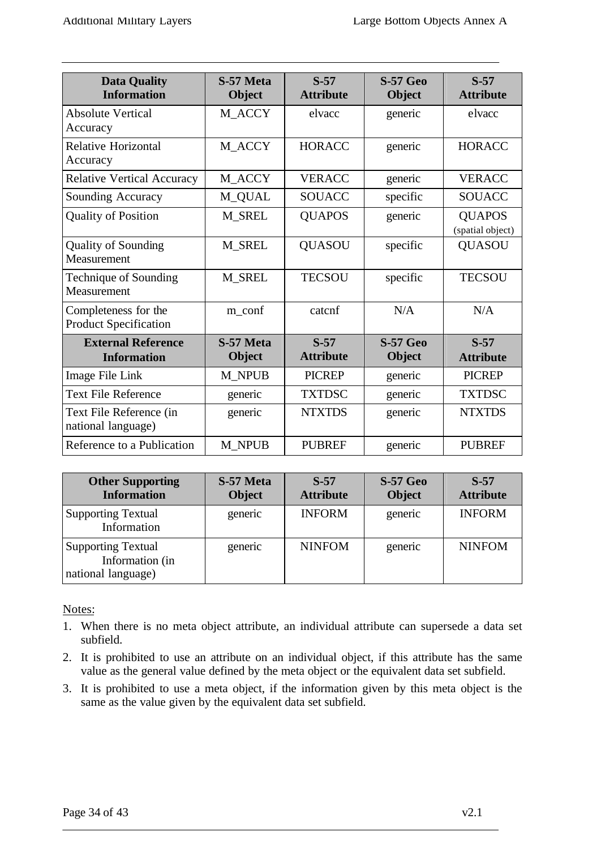| <b>Data Quality</b><br><b>Information</b>            | S-57 Meta<br><b>Object</b> | $S-57$<br><b>Attribute</b> | <b>S-57 Geo</b><br><b>Object</b> | $S-57$<br><b>Attribute</b>        |
|------------------------------------------------------|----------------------------|----------------------------|----------------------------------|-----------------------------------|
| <b>Absolute Vertical</b><br>Accuracy                 | M_ACCY                     | elvacc                     | generic                          | elvacc                            |
| Relative Horizontal<br>Accuracy                      | M_ACCY                     | <b>HORACC</b>              | generic                          | <b>HORACC</b>                     |
| <b>Relative Vertical Accuracy</b>                    | M_ACCY                     | <b>VERACC</b>              | generic                          | <b>VERACC</b>                     |
| Sounding Accuracy                                    | M_QUAL                     | SOUACC                     | specific                         | <b>SOUACC</b>                     |
| <b>Quality of Position</b>                           | <b>M_SREL</b>              | <b>QUAPOS</b>              | generic                          | <b>QUAPOS</b><br>(spatial object) |
| <b>Quality of Sounding</b><br>Measurement            | M_SREL                     | <b>QUASOU</b>              | specific                         | <b>QUASOU</b>                     |
| Technique of Sounding<br>Measurement                 | <b>M_SREL</b>              | <b>TECSOU</b>              | specific                         | <b>TECSOU</b>                     |
| Completeness for the<br><b>Product Specification</b> | m_conf                     | catcnf                     | N/A                              | N/A                               |
| <b>External Reference</b><br><b>Information</b>      | S-57 Meta<br><b>Object</b> | $S-57$<br><b>Attribute</b> | <b>S-57 Geo</b><br><b>Object</b> | $S-57$<br><b>Attribute</b>        |
| Image File Link                                      | <b>M_NPUB</b>              | <b>PICREP</b>              | generic                          | <b>PICREP</b>                     |
| <b>Text File Reference</b>                           | generic                    | <b>TXTDSC</b>              | generic                          | <b>TXTDSC</b>                     |
| Text File Reference (in<br>national language)        | generic                    | <b>NTXTDS</b>              | generic                          | <b>NTXTDS</b>                     |
| Reference to a Publication                           | M NPUB                     | <b>PUBREF</b>              | generic                          | <b>PUBREF</b>                     |

| <b>Other Supporting</b><br><b>Information</b>                      | S-57 Meta<br><b>Object</b> | $S-57$<br><b>Attribute</b> | <b>S-57 Geo</b><br><b>Object</b> | $S-57$<br><b>Attribute</b> |
|--------------------------------------------------------------------|----------------------------|----------------------------|----------------------------------|----------------------------|
| <b>Supporting Textual</b><br>Information                           | generic                    | <b>INFORM</b>              | generic                          | <b>INFORM</b>              |
| <b>Supporting Textual</b><br>Information (in<br>national language) | generic                    | <b>NINFOM</b>              | generic                          | <b>NINFOM</b>              |

## Notes:

- 1. When there is no meta object attribute, an individual attribute can supersede a data set subfield.
- 2. It is prohibited to use an attribute on an individual object, if this attribute has the same value as the general value defined by the meta object or the equivalent data set subfield.
- 3. It is prohibited to use a meta object, if the information given by this meta object is the same as the value given by the equivalent data set subfield.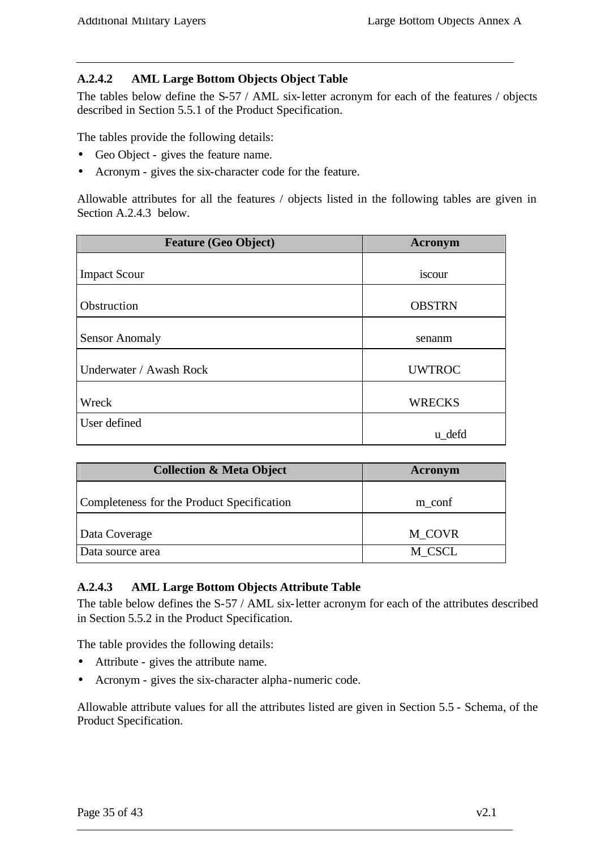#### **A.2.4.2 AML Large Bottom Objects Object Table**

The tables below define the S-57 / AML six-letter acronym for each of the features / objects described in Section 5.5.1 of the Product Specification.

The tables provide the following details:

- Geo Object gives the feature name.
- Acronym gives the six-character code for the feature.

Allowable attributes for all the features / objects listed in the following tables are given in Section A.2.4.3 below.

| <b>Feature (Geo Object)</b> | Acronym       |
|-----------------------------|---------------|
| <b>Impact Scour</b>         | iscour        |
| Obstruction                 | <b>OBSTRN</b> |
| <b>Sensor Anomaly</b>       | senanm        |
| Underwater / Awash Rock     | <b>UWTROC</b> |
| Wreck                       | <b>WRECKS</b> |
| User defined                | u_defd        |

| <b>Collection &amp; Meta Object</b>        | Acronym          |  |  |
|--------------------------------------------|------------------|--|--|
| Completeness for the Product Specification | m_conf           |  |  |
|                                            |                  |  |  |
| Data Coverage<br>Data source area          | M_COVR<br>M_CSCL |  |  |

#### **A.2.4.3 AML Large Bottom Objects Attribute Table**

The table below defines the S-57 / AML six-letter acronym for each of the attributes described in Section 5.5.2 in the Product Specification.

The table provides the following details:

- Attribute gives the attribute name.
- Acronym gives the six-character alpha-numeric code.

Allowable attribute values for all the attributes listed are given in Section 5.5 - Schema, of the Product Specification.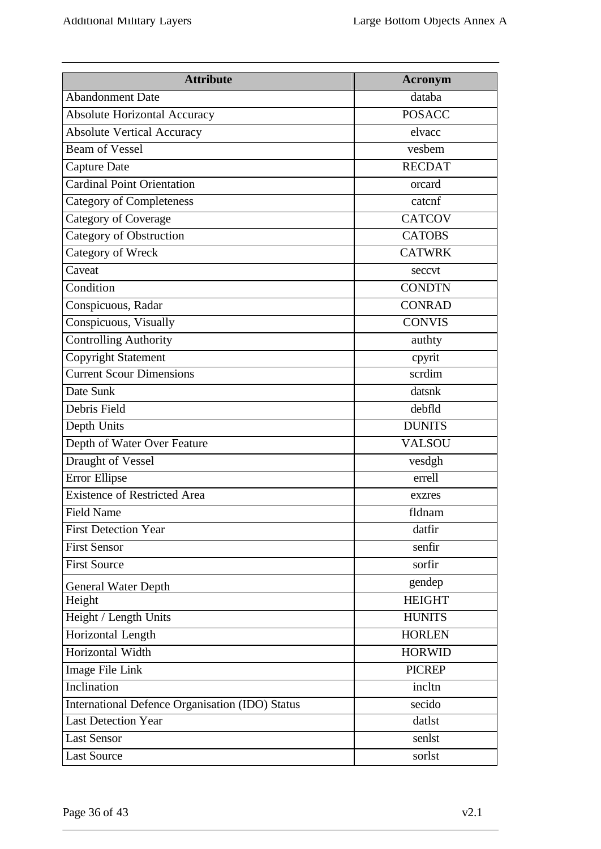| <b>Attribute</b>                                | <b>Acronym</b> |  |
|-------------------------------------------------|----------------|--|
| <b>Abandonment Date</b>                         | databa         |  |
| <b>Absolute Horizontal Accuracy</b>             | <b>POSACC</b>  |  |
| <b>Absolute Vertical Accuracy</b>               | elvacc         |  |
| <b>Beam of Vessel</b>                           | vesbem         |  |
| <b>Capture Date</b>                             | <b>RECDAT</b>  |  |
| <b>Cardinal Point Orientation</b>               | orcard         |  |
| <b>Category of Completeness</b>                 | catcnf         |  |
| <b>Category of Coverage</b>                     | <b>CATCOV</b>  |  |
| Category of Obstruction                         | <b>CATOBS</b>  |  |
| Category of Wreck                               | <b>CATWRK</b>  |  |
| Caveat                                          | seccvt         |  |
| Condition                                       | <b>CONDTN</b>  |  |
| Conspicuous, Radar                              | <b>CONRAD</b>  |  |
| Conspicuous, Visually                           | <b>CONVIS</b>  |  |
| <b>Controlling Authority</b>                    | authty         |  |
| <b>Copyright Statement</b>                      | cpyrit         |  |
| <b>Current Scour Dimensions</b>                 | scrdim         |  |
| Date Sunk                                       | datsnk         |  |
| Debris Field                                    | debfld         |  |
| Depth Units                                     | <b>DUNITS</b>  |  |
| Depth of Water Over Feature                     | <b>VALSOU</b>  |  |
| Draught of Vessel                               | vesdgh         |  |
| Error Ellipse                                   | errell         |  |
| <b>Existence of Restricted Area</b>             | exzres         |  |
| <b>Field Name</b>                               | fldnam         |  |
| <b>First Detection Year</b>                     | datfir         |  |
| <b>First Sensor</b>                             | senfir         |  |
| <b>First Source</b>                             | sorfir         |  |
| <b>General Water Depth</b>                      | gendep         |  |
| Height                                          | <b>HEIGHT</b>  |  |
| Height / Length Units                           | <b>HUNITS</b>  |  |
| Horizontal Length                               | <b>HORLEN</b>  |  |
| Horizontal Width                                | <b>HORWID</b>  |  |
| Image File Link                                 | <b>PICREP</b>  |  |
| Inclination                                     | incltn         |  |
| International Defence Organisation (IDO) Status | secido         |  |
| <b>Last Detection Year</b>                      | datlst         |  |
| <b>Last Sensor</b>                              | senlst         |  |
| <b>Last Source</b>                              | sorlst         |  |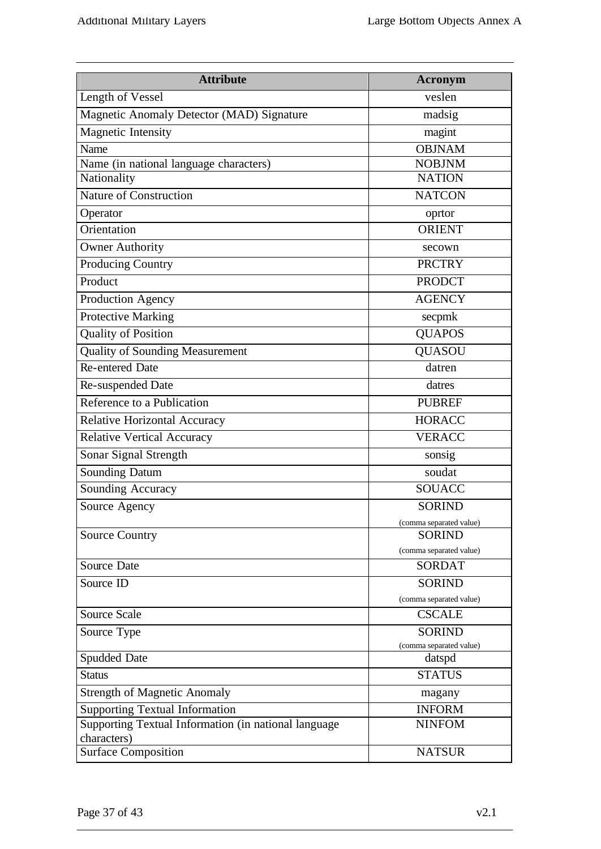| <b>Attribute</b>                                     | <b>Acronym</b>                           |  |  |
|------------------------------------------------------|------------------------------------------|--|--|
| Length of Vessel                                     | veslen                                   |  |  |
| Magnetic Anomaly Detector (MAD) Signature            | madsig                                   |  |  |
| <b>Magnetic Intensity</b>                            | magint                                   |  |  |
| Name                                                 | <b>OBJNAM</b>                            |  |  |
| Name (in national language characters)               | <b>NOBJNM</b>                            |  |  |
| Nationality                                          | <b>NATION</b>                            |  |  |
| <b>Nature of Construction</b>                        | <b>NATCON</b>                            |  |  |
| Operator                                             | oprtor                                   |  |  |
| Orientation                                          | <b>ORIENT</b>                            |  |  |
| <b>Owner Authority</b>                               | secown                                   |  |  |
| <b>Producing Country</b>                             | <b>PRCTRY</b>                            |  |  |
| Product                                              | <b>PRODCT</b>                            |  |  |
| Production Agency                                    | <b>AGENCY</b>                            |  |  |
| <b>Protective Marking</b>                            | secpmk                                   |  |  |
| <b>Quality of Position</b>                           | <b>QUAPOS</b>                            |  |  |
| <b>Quality of Sounding Measurement</b>               | <b>QUASOU</b>                            |  |  |
| <b>Re-entered Date</b>                               | datren                                   |  |  |
| Re-suspended Date                                    | datres                                   |  |  |
| Reference to a Publication                           | <b>PUBREF</b>                            |  |  |
| <b>Relative Horizontal Accuracy</b>                  | <b>HORACC</b>                            |  |  |
| <b>Relative Vertical Accuracy</b>                    | <b>VERACC</b>                            |  |  |
| Sonar Signal Strength                                | sonsig                                   |  |  |
| <b>Sounding Datum</b>                                | soudat                                   |  |  |
| Sounding Accuracy                                    | <b>SOUACC</b>                            |  |  |
| Source Agency                                        | <b>SORIND</b>                            |  |  |
|                                                      | (comma separated value)                  |  |  |
| <b>Source Country</b>                                | <b>SORIND</b>                            |  |  |
| Source Date                                          | (comma separated value)<br><b>SORDAT</b> |  |  |
|                                                      |                                          |  |  |
| Source ID                                            | <b>SORIND</b><br>(comma separated value) |  |  |
| <b>Source Scale</b>                                  | <b>CSCALE</b>                            |  |  |
| Source Type                                          | <b>SORIND</b>                            |  |  |
|                                                      | (comma separated value)                  |  |  |
| Spudded Date                                         | datspd                                   |  |  |
| <b>Status</b>                                        | <b>STATUS</b>                            |  |  |
| <b>Strength of Magnetic Anomaly</b>                  | magany                                   |  |  |
| <b>Supporting Textual Information</b>                | <b>INFORM</b>                            |  |  |
| Supporting Textual Information (in national language | <b>NINFOM</b>                            |  |  |
| characters)<br><b>Surface Composition</b>            | <b>NATSUR</b>                            |  |  |
|                                                      |                                          |  |  |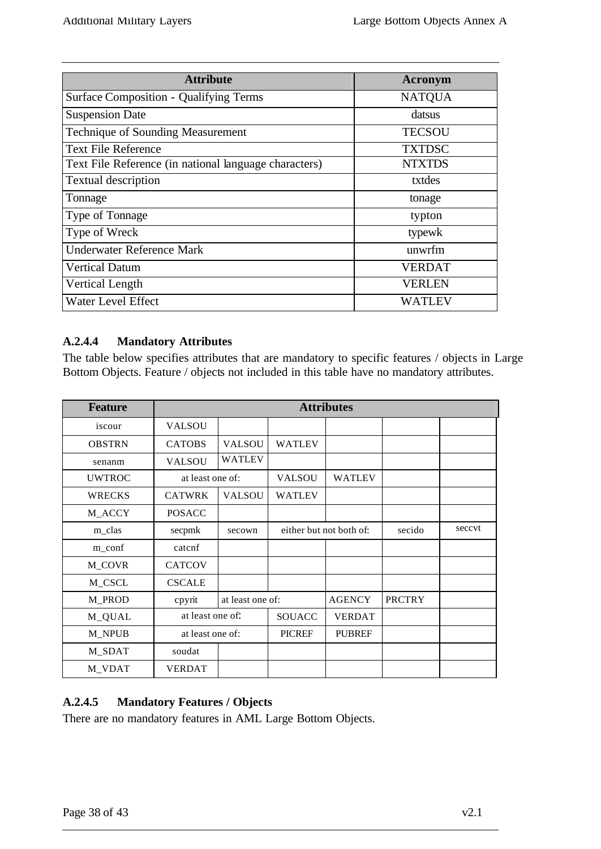| <b>Attribute</b>                                      | Acronym       |  |  |
|-------------------------------------------------------|---------------|--|--|
| <b>Surface Composition - Qualifying Terms</b>         | <b>NATQUA</b> |  |  |
| <b>Suspension Date</b>                                | datsus        |  |  |
| <b>Technique of Sounding Measurement</b>              | <b>TECSOU</b> |  |  |
| <b>Text File Reference</b>                            | <b>TXTDSC</b> |  |  |
| Text File Reference (in national language characters) | <b>NTXTDS</b> |  |  |
| <b>Textual description</b>                            | txtdes        |  |  |
| Tonnage                                               | tonage        |  |  |
| Type of Tonnage                                       | typton        |  |  |
| Type of Wreck                                         | typewk        |  |  |
| Underwater Reference Mark                             | unwrfm        |  |  |
| <b>Vertical Datum</b>                                 | <b>VERDAT</b> |  |  |
| Vertical Length                                       | <b>VERLEN</b> |  |  |
| Water Level Effect                                    | WATLEV        |  |  |

# **A.2.4.4 Mandatory Attributes**

The table below specifies attributes that are mandatory to specific features / objects in Large Bottom Objects. Feature / objects not included in this table have no mandatory attributes.

| <b>Feature</b> | <b>Attributes</b> |                  |                         |               |               |        |
|----------------|-------------------|------------------|-------------------------|---------------|---------------|--------|
| iscour         | <b>VALSOU</b>     |                  |                         |               |               |        |
| <b>OBSTRN</b>  | <b>CATOBS</b>     | <b>VALSOU</b>    | <b>WATLEV</b>           |               |               |        |
| senanm         | <b>VALSOU</b>     | <b>WATLEV</b>    |                         |               |               |        |
| <b>UWTROC</b>  | at least one of:  |                  | <b>VALSOU</b>           | <b>WATLEV</b> |               |        |
| <b>WRECKS</b>  | <b>CATWRK</b>     | <b>VALSOU</b>    | <b>WATLEV</b>           |               |               |        |
| M_ACCY         | <b>POSACC</b>     |                  |                         |               |               |        |
| m_clas         | secpmk            | secown           | either but not both of: |               | secido        | seccvt |
| m_conf         | catcnf            |                  |                         |               |               |        |
| M_COVR         | <b>CATCOV</b>     |                  |                         |               |               |        |
| M_CSCL         | <b>CSCALE</b>     |                  |                         |               |               |        |
| M_PROD         | cpyrit            | at least one of: |                         | <b>AGENCY</b> | <b>PRCTRY</b> |        |
| M_QUAL         | at least one of:  |                  | SOUACC                  | <b>VERDAT</b> |               |        |
| M NPUB         | at least one of:  |                  | <b>PICREF</b>           | <b>PUBREF</b> |               |        |
| M_SDAT         | soudat            |                  |                         |               |               |        |
| M_VDAT         | <b>VERDAT</b>     |                  |                         |               |               |        |

# **A.2.4.5 Mandatory Features / Objects**

There are no mandatory features in AML Large Bottom Objects.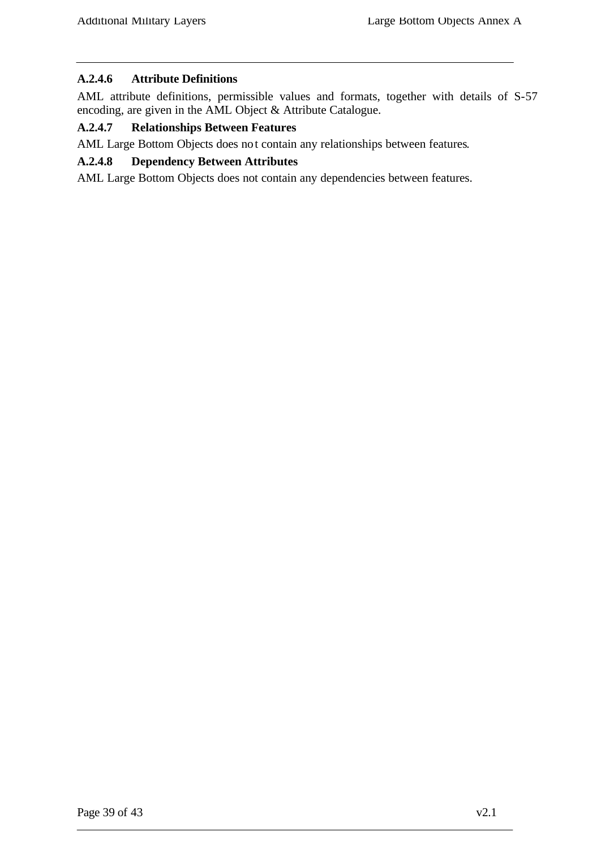#### **A.2.4.6 Attribute Definitions**

AML attribute definitions, permissible values and formats, together with details of S-57 encoding, are given in the AML Object & Attribute Catalogue.

## **A.2.4.7 Relationships Between Features**

AML Large Bottom Objects does not contain any relationships between features.

## **A.2.4.8 Dependency Between Attributes**

AML Large Bottom Objects does not contain any dependencies between features.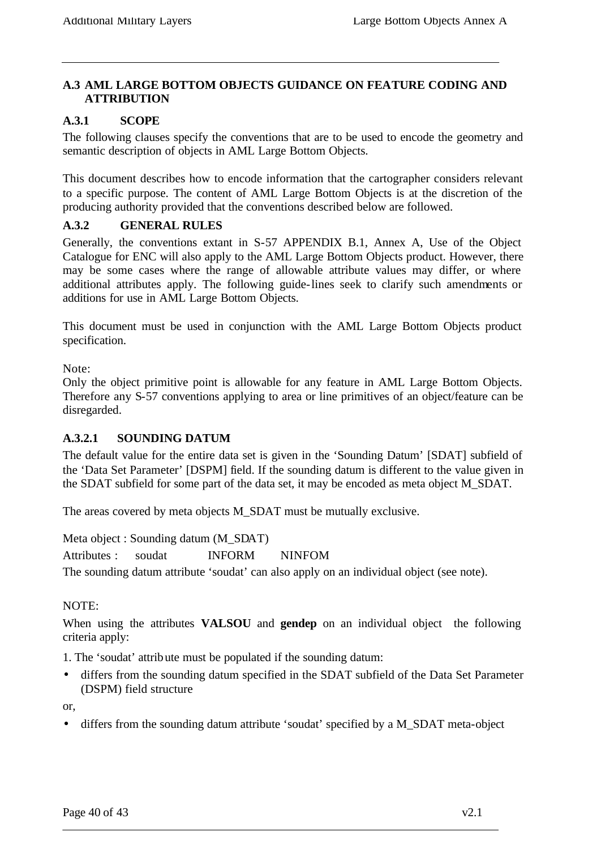## **A.3 AML LARGE BOTTOM OBJECTS GUIDANCE ON FEATURE CODING AND ATTRIBUTION**

## **A.3.1 SCOPE**

The following clauses specify the conventions that are to be used to encode the geometry and semantic description of objects in AML Large Bottom Objects.

This document describes how to encode information that the cartographer considers relevant to a specific purpose. The content of AML Large Bottom Objects is at the discretion of the producing authority provided that the conventions described below are followed.

#### **A.3.2 GENERAL RULES**

Generally, the conventions extant in S-57 APPENDIX B.1, Annex A, Use of the Object Catalogue for ENC will also apply to the AML Large Bottom Objects product. However, there may be some cases where the range of allowable attribute values may differ, or where additional attributes apply. The following guide-lines seek to clarify such amendments or additions for use in AML Large Bottom Objects.

This document must be used in conjunction with the AML Large Bottom Objects product specification.

Note:

Only the object primitive point is allowable for any feature in AML Large Bottom Objects. Therefore any S-57 conventions applying to area or line primitives of an object/feature can be disregarded.

## **A.3.2.1 SOUNDING DATUM**

The default value for the entire data set is given in the 'Sounding Datum' [SDAT] subfield of the 'Data Set Parameter' [DSPM] field. If the sounding datum is different to the value given in the SDAT subfield for some part of the data set, it may be encoded as meta object M\_SDAT.

The areas covered by meta objects M\_SDAT must be mutually exclusive.

Meta object : Sounding datum (M\_SDAT)

Attributes : soudat INFORM NINFOM

The sounding datum attribute 'soudat' can also apply on an individual object (see note).

NOTE:

When using the attributes **VALSOU** and **gendep** on an individual object the following criteria apply:

1. The 'soudat' attribute must be populated if the sounding datum:

• differs from the sounding datum specified in the SDAT subfield of the Data Set Parameter (DSPM) field structure

or,

• differs from the sounding datum attribute 'soudat' specified by a M\_SDAT meta-object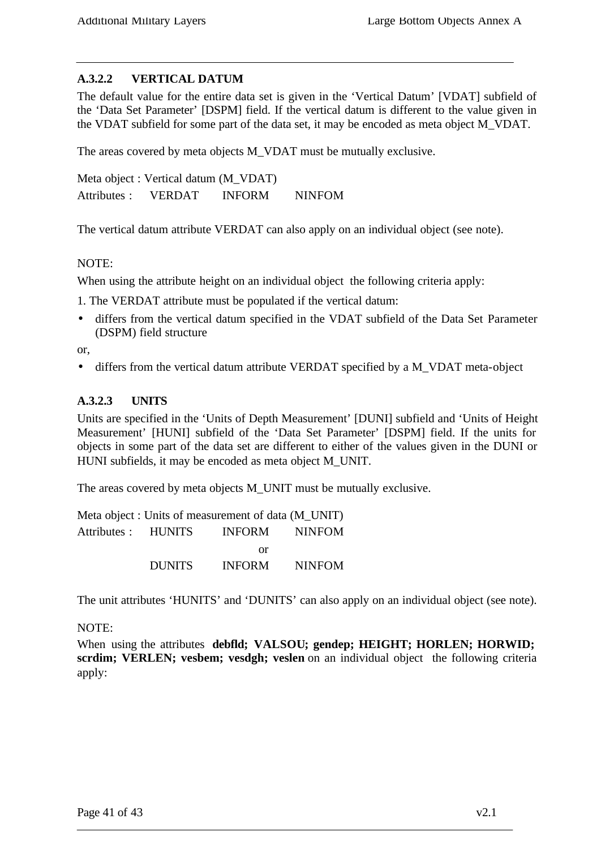## **A.3.2.2 VERTICAL DATUM**

The default value for the entire data set is given in the 'Vertical Datum' [VDAT] subfield of the 'Data Set Parameter' [DSPM] field. If the vertical datum is different to the value given in the VDAT subfield for some part of the data set, it may be encoded as meta object M\_VDAT.

The areas covered by meta objects M\_VDAT must be mutually exclusive.

Meta object : Vertical datum (M\_VDAT) Attributes : VERDAT INFORM NINFOM

The vertical datum attribute VERDAT can also apply on an individual object (see note).

#### NOTE:

When using the attribute height on an individual object the following criteria apply:

1. The VERDAT attribute must be populated if the vertical datum:

• differs from the vertical datum specified in the VDAT subfield of the Data Set Parameter (DSPM) field structure

or,

• differs from the vertical datum attribute VERDAT specified by a M\_VDAT meta-object

#### **A.3.2.3 UNITS**

Units are specified in the 'Units of Depth Measurement' [DUNI] subfield and 'Units of Height Measurement' [HUNI] subfield of the 'Data Set Parameter' [DSPM] field. If the units for objects in some part of the data set are different to either of the values given in the DUNI or HUNI subfields, it may be encoded as meta object M\_UNIT.

The areas covered by meta objects M\_UNIT must be mutually exclusive.

Meta object : Units of measurement of data (M\_UNIT) Attributes : HUNITS INFORM NINFOM or DUNITS INFORM NINFOM

The unit attributes 'HUNITS' and 'DUNITS' can also apply on an individual object (see note).

NOTE:

When using the attributes **debfld; VALSOU; gendep; HEIGHT; HORLEN; HORWID; scrdim; VERLEN; vesbem; vesdgh; veslen** on an individual object the following criteria apply: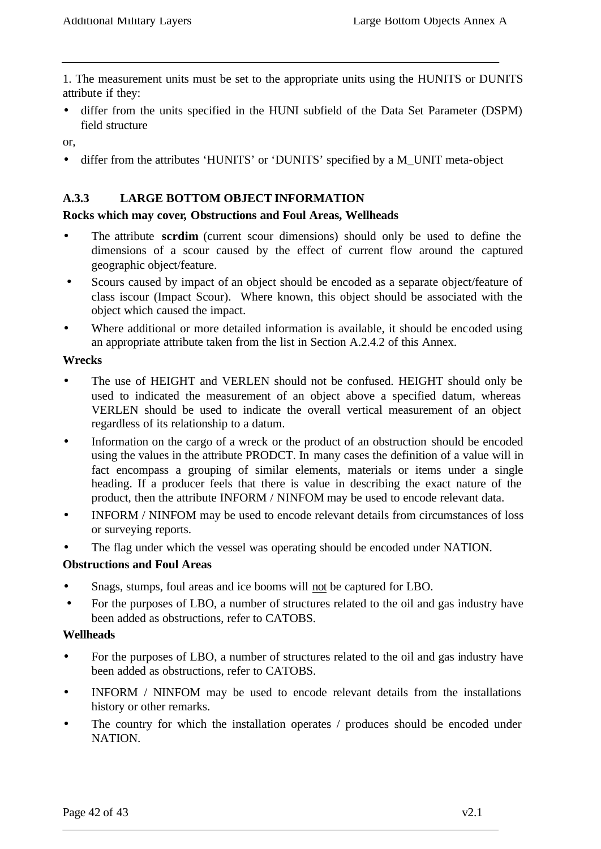1. The measurement units must be set to the appropriate units using the HUNITS or DUNITS attribute if they:

• differ from the units specified in the HUNI subfield of the Data Set Parameter (DSPM) field structure

or,

• differ from the attributes 'HUNITS' or 'DUNITS' specified by a M\_UNIT meta-object

#### **A.3.3 LARGE BOTTOM OBJECT INFORMATION**

#### **Rocks which may cover, Obstructions and Foul Areas, Wellheads**

- The attribute **scrdim** (current scour dimensions) should only be used to define the dimensions of a scour caused by the effect of current flow around the captured geographic object/feature.
- Scours caused by impact of an object should be encoded as a separate object/feature of class iscour (Impact Scour). Where known, this object should be associated with the object which caused the impact.
- Where additional or more detailed information is available, it should be encoded using an appropriate attribute taken from the list in Section A.2.4.2 of this Annex.

#### **Wrecks**

- The use of HEIGHT and VERLEN should not be confused. HEIGHT should only be used to indicated the measurement of an object above a specified datum, whereas VERLEN should be used to indicate the overall vertical measurement of an object regardless of its relationship to a datum.
- Information on the cargo of a wreck or the product of an obstruction should be encoded using the values in the attribute PRODCT. In many cases the definition of a value will in fact encompass a grouping of similar elements, materials or items under a single heading. If a producer feels that there is value in describing the exact nature of the product, then the attribute INFORM / NINFOM may be used to encode relevant data.
- INFORM / NINFOM may be used to encode relevant details from circumstances of loss or surveying reports.
- The flag under which the vessel was operating should be encoded under NATION.

#### **Obstructions and Foul Areas**

- Snags, stumps, foul areas and ice booms will not be captured for LBO.
- For the purposes of LBO, a number of structures related to the oil and gas industry have been added as obstructions, refer to CATOBS.

#### **Wellheads**

- For the purposes of LBO, a number of structures related to the oil and gas industry have been added as obstructions, refer to CATOBS.
- INFORM / NINFOM may be used to encode relevant details from the installations history or other remarks.
- The country for which the installation operates / produces should be encoded under NATION.